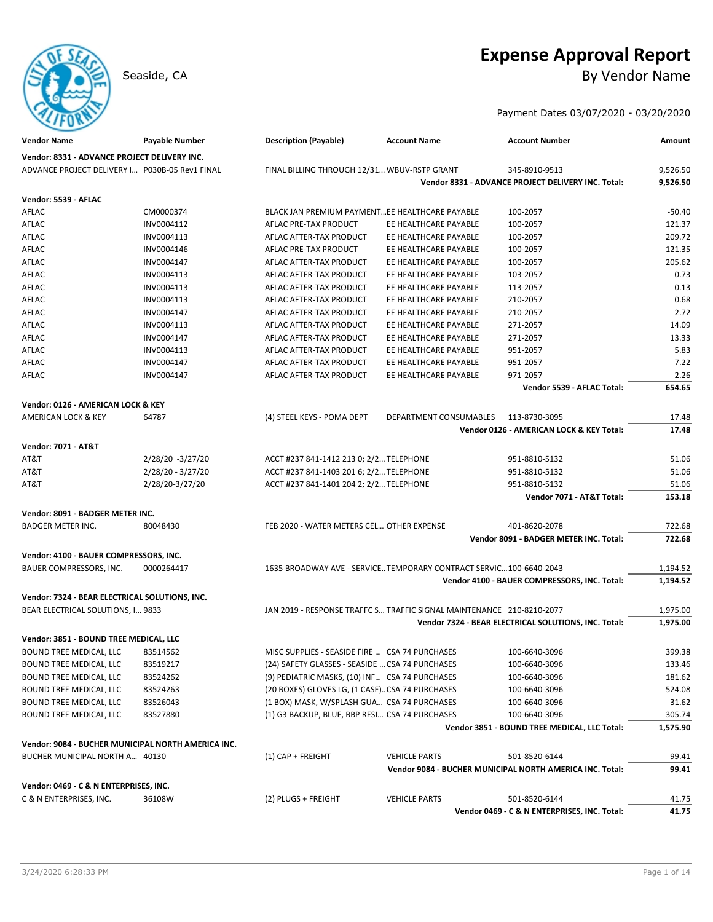# **Expense Approval Report**

Seaside, CA By Vendor Name

# Payment Dates 03/07/2020 - 03/20/2020

| Vendor Name                                        | Payable Number      | <b>Description (Payable)</b>                       | <b>Account Name</b>                                                   | <b>Account Number</b>                                    | Amount   |
|----------------------------------------------------|---------------------|----------------------------------------------------|-----------------------------------------------------------------------|----------------------------------------------------------|----------|
| Vendor: 8331 - ADVANCE PROJECT DELIVERY INC.       |                     |                                                    |                                                                       |                                                          |          |
| ADVANCE PROJECT DELIVERY I P030B-05 Rev1 FINAL     |                     | FINAL BILLING THROUGH 12/31 WBUV-RSTP GRANT        |                                                                       | 345-8910-9513                                            | 9,526.50 |
|                                                    |                     |                                                    |                                                                       | Vendor 8331 - ADVANCE PROJECT DELIVERY INC. Total:       | 9,526.50 |
| Vendor: 5539 - AFLAC                               |                     |                                                    |                                                                       |                                                          |          |
| AFLAC                                              | CM0000374           | BLACK JAN PREMIUM PAYMENTEE HEALTHCARE PAYABLE     |                                                                       | 100-2057                                                 | $-50.40$ |
| AFLAC                                              | INV0004112          | AFLAC PRE-TAX PRODUCT                              | EE HEALTHCARE PAYABLE                                                 | 100-2057                                                 | 121.37   |
| AFLAC                                              | INV0004113          | AFLAC AFTER-TAX PRODUCT                            | EE HEALTHCARE PAYABLE                                                 | 100-2057                                                 | 209.72   |
| AFLAC                                              | INV0004146          | AFLAC PRE-TAX PRODUCT                              | EE HEALTHCARE PAYABLE                                                 | 100-2057                                                 | 121.35   |
| AFLAC                                              | INV0004147          | AFLAC AFTER-TAX PRODUCT                            | EE HEALTHCARE PAYABLE                                                 | 100-2057                                                 | 205.62   |
| AFLAC                                              | INV0004113          | AFLAC AFTER-TAX PRODUCT                            | EE HEALTHCARE PAYABLE                                                 | 103-2057                                                 | 0.73     |
| AFLAC                                              | INV0004113          | AFLAC AFTER-TAX PRODUCT                            | EE HEALTHCARE PAYABLE                                                 | 113-2057                                                 | 0.13     |
| AFLAC                                              | INV0004113          | AFLAC AFTER-TAX PRODUCT                            | EE HEALTHCARE PAYABLE                                                 | 210-2057                                                 | 0.68     |
| AFLAC                                              | INV0004147          | AFLAC AFTER-TAX PRODUCT                            | EE HEALTHCARE PAYABLE                                                 | 210-2057                                                 | 2.72     |
| AFLAC                                              | INV0004113          | AFLAC AFTER-TAX PRODUCT                            | EE HEALTHCARE PAYABLE                                                 | 271-2057                                                 | 14.09    |
| AFLAC                                              | INV0004147          | AFLAC AFTER-TAX PRODUCT                            | EE HEALTHCARE PAYABLE                                                 | 271-2057                                                 | 13.33    |
| AFLAC                                              | INV0004113          | AFLAC AFTER-TAX PRODUCT                            | EE HEALTHCARE PAYABLE                                                 | 951-2057                                                 | 5.83     |
|                                                    |                     |                                                    |                                                                       |                                                          | 7.22     |
| AFLAC                                              | INV0004147          | AFLAC AFTER-TAX PRODUCT<br>AFLAC AFTER-TAX PRODUCT | EE HEALTHCARE PAYABLE                                                 | 951-2057                                                 |          |
| AFLAC                                              | INV0004147          |                                                    | EE HEALTHCARE PAYABLE                                                 | 971-2057                                                 | 2.26     |
|                                                    |                     |                                                    |                                                                       | Vendor 5539 - AFLAC Total:                               | 654.65   |
| Vendor: 0126 - AMERICAN LOCK & KEY                 |                     |                                                    |                                                                       |                                                          |          |
| <b>AMERICAN LOCK &amp; KEY</b>                     | 64787               | (4) STEEL KEYS - POMA DEPT                         | DEPARTMENT CONSUMABLES                                                | 113-8730-3095                                            | 17.48    |
|                                                    |                     |                                                    |                                                                       | Vendor 0126 - AMERICAN LOCK & KEY Total:                 | 17.48    |
| <b>Vendor: 7071 - AT&amp;T</b>                     |                     |                                                    |                                                                       |                                                          |          |
| AT&T                                               | 2/28/20 -3/27/20    | ACCT #237 841-1412 213 0; 2/2 TELEPHONE            |                                                                       | 951-8810-5132                                            | 51.06    |
| AT&T                                               | $2/28/20 - 3/27/20$ | ACCT #237 841-1403 201 6; 2/2 TELEPHONE            |                                                                       | 951-8810-5132                                            | 51.06    |
| AT&T                                               | 2/28/20-3/27/20     | ACCT #237 841-1401 204 2; 2/2 TELEPHONE            |                                                                       | 951-8810-5132                                            | 51.06    |
|                                                    |                     |                                                    |                                                                       | Vendor 7071 - AT&T Total:                                | 153.18   |
|                                                    |                     |                                                    |                                                                       |                                                          |          |
| Vendor: 8091 - BADGER METER INC.                   |                     |                                                    |                                                                       |                                                          |          |
| <b>BADGER METER INC.</b>                           | 80048430            | FEB 2020 - WATER METERS CEL OTHER EXPENSE          |                                                                       | 401-8620-2078                                            | 722.68   |
|                                                    |                     |                                                    |                                                                       | Vendor 8091 - BADGER METER INC. Total:                   | 722.68   |
| Vendor: 4100 - BAUER COMPRESSORS, INC.             |                     |                                                    |                                                                       |                                                          |          |
| BAUER COMPRESSORS, INC.                            | 0000264417          |                                                    | 1635 BROADWAY AVE - SERVICE TEMPORARY CONTRACT SERVIC 100-6640-2043   |                                                          | 1,194.52 |
|                                                    |                     |                                                    |                                                                       | Vendor 4100 - BAUER COMPRESSORS, INC. Total:             | 1,194.52 |
| Vendor: 7324 - BEAR ELECTRICAL SOLUTIONS, INC.     |                     |                                                    |                                                                       |                                                          |          |
| BEAR ELECTRICAL SOLUTIONS, I 9833                  |                     |                                                    | JAN 2019 - RESPONSE TRAFFC S TRAFFIC SIGNAL MAINTENANCE 210-8210-2077 |                                                          | 1,975.00 |
|                                                    |                     |                                                    |                                                                       | Vendor 7324 - BEAR ELECTRICAL SOLUTIONS, INC. Total:     | 1,975.00 |
| Vendor: 3851 - BOUND TREE MEDICAL, LLC             |                     |                                                    |                                                                       |                                                          |          |
|                                                    | 83514562            | MISC SUPPLIES - SEASIDE FIRE  CSA 74 PURCHASES     |                                                                       |                                                          | 399.38   |
| BOUND TREE MEDICAL, LLC                            |                     |                                                    |                                                                       | 100-6640-3096                                            |          |
| BOUND TREE MEDICAL, LLC                            | 83519217            | (24) SAFETY GLASSES - SEASIDE  CSA 74 PURCHASES    |                                                                       | 100-6640-3096                                            | 133.46   |
| BOUND TREE MEDICAL, LLC                            | 83524262            | (9) PEDIATRIC MASKS, (10) INF CSA 74 PURCHASES     |                                                                       | 100-6640-3096                                            | 181.62   |
| BOUND TREE MEDICAL, LLC                            | 83524263            | (20 BOXES) GLOVES LG, (1 CASE)CSA 74 PURCHASES     |                                                                       | 100-6640-3096                                            | 524.08   |
| BOUND TREE MEDICAL, LLC                            | 83526043            | (1 BOX) MASK, W/SPLASH GUA CSA 74 PURCHASES        |                                                                       | 100-6640-3096                                            | 31.62    |
| BOUND TREE MEDICAL, LLC                            | 83527880            | (1) G3 BACKUP, BLUE, BBP RESI CSA 74 PURCHASES     |                                                                       | 100-6640-3096                                            | 305.74   |
|                                                    |                     |                                                    |                                                                       | Vendor 3851 - BOUND TREE MEDICAL, LLC Total:             | 1,575.90 |
| Vendor: 9084 - BUCHER MUNICIPAL NORTH AMERICA INC. |                     |                                                    |                                                                       |                                                          |          |
| BUCHER MUNICIPAL NORTH A 40130                     |                     | $(1)$ CAP + FREIGHT                                | <b>VEHICLE PARTS</b>                                                  | 501-8520-6144                                            | 99.41    |
|                                                    |                     |                                                    |                                                                       | Vendor 9084 - BUCHER MUNICIPAL NORTH AMERICA INC. Total: | 99.41    |
| Vendor: 0469 - C & N ENTERPRISES, INC.             |                     |                                                    |                                                                       |                                                          |          |
| C & N ENTERPRISES, INC.                            | 36108W              | (2) PLUGS + FREIGHT                                | <b>VEHICLE PARTS</b>                                                  | 501-8520-6144                                            | 41.75    |
|                                                    |                     |                                                    |                                                                       | Vendor 0469 - C & N ENTERPRISES, INC. Total:             | 41.75    |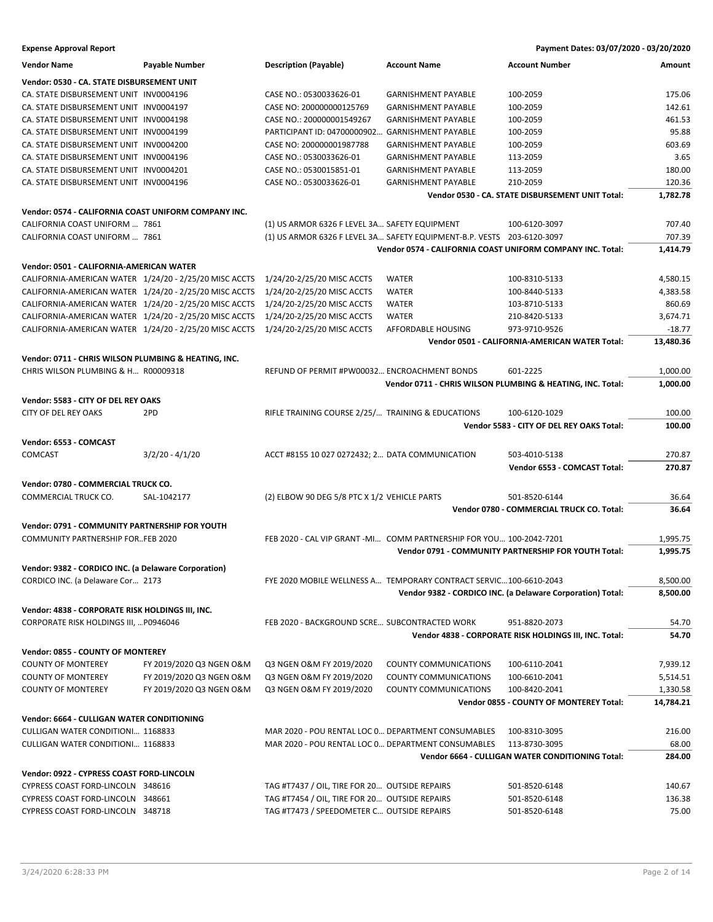**Expense Approval Report Payment Dates: 03/07/2020 - 03/20/2020**

| <b>Vendor Name</b>                                     | Payable Number           | <b>Description (Payable)</b>                       | <b>Account Name</b>                                                    | <b>Account Number</b>                                      | Amount    |
|--------------------------------------------------------|--------------------------|----------------------------------------------------|------------------------------------------------------------------------|------------------------------------------------------------|-----------|
| Vendor: 0530 - CA. STATE DISBURSEMENT UNIT             |                          |                                                    |                                                                        |                                                            |           |
| CA. STATE DISBURSEMENT UNIT INV0004196                 |                          | CASE NO.: 0530033626-01                            | <b>GARNISHMENT PAYABLE</b>                                             | 100-2059                                                   | 175.06    |
| CA. STATE DISBURSEMENT UNIT INV0004197                 |                          | CASE NO: 200000000125769                           | <b>GARNISHMENT PAYABLE</b>                                             | 100-2059                                                   | 142.61    |
| CA. STATE DISBURSEMENT UNIT INV0004198                 |                          | CASE NO.: 200000001549267                          | <b>GARNISHMENT PAYABLE</b>                                             | 100-2059                                                   | 461.53    |
| CA. STATE DISBURSEMENT UNIT INV0004199                 |                          | PARTICIPANT ID: 04700000902.                       | <b>GARNISHMENT PAYABLE</b>                                             | 100-2059                                                   | 95.88     |
| CA. STATE DISBURSEMENT UNIT INV0004200                 |                          | CASE NO: 200000001987788                           | <b>GARNISHMENT PAYABLE</b>                                             | 100-2059                                                   | 603.69    |
| CA. STATE DISBURSEMENT UNIT INV0004196                 |                          | CASE NO.: 0530033626-01                            | <b>GARNISHMENT PAYABLE</b>                                             | 113-2059                                                   | 3.65      |
| CA. STATE DISBURSEMENT UNIT INV0004201                 |                          | CASE NO.: 0530015851-01                            | <b>GARNISHMENT PAYABLE</b>                                             | 113-2059                                                   | 180.00    |
| CA. STATE DISBURSEMENT UNIT INV0004196                 |                          | CASE NO.: 0530033626-01                            | <b>GARNISHMENT PAYABLE</b>                                             | 210-2059                                                   | 120.36    |
|                                                        |                          |                                                    |                                                                        | Vendor 0530 - CA. STATE DISBURSEMENT UNIT Total:           | 1,782.78  |
|                                                        |                          |                                                    |                                                                        |                                                            |           |
| Vendor: 0574 - CALIFORNIA COAST UNIFORM COMPANY INC.   |                          |                                                    |                                                                        |                                                            |           |
| CALIFORNIA COAST UNIFORM  7861                         |                          | (1) US ARMOR 6326 F LEVEL 3A SAFETY EQUIPMENT      |                                                                        | 100-6120-3097                                              | 707.40    |
| CALIFORNIA COAST UNIFORM  7861                         |                          |                                                    | (1) US ARMOR 6326 F LEVEL 3A SAFETY EQUIPMENT-B.P. VESTS 203-6120-3097 |                                                            | 707.39    |
|                                                        |                          |                                                    |                                                                        | Vendor 0574 - CALIFORNIA COAST UNIFORM COMPANY INC. Total: | 1,414.79  |
| Vendor: 0501 - CALIFORNIA-AMERICAN WATER               |                          |                                                    |                                                                        |                                                            |           |
| CALIFORNIA-AMERICAN WATER 1/24/20 - 2/25/20 MISC ACCTS |                          | 1/24/20-2/25/20 MISC ACCTS                         | WATER                                                                  | 100-8310-5133                                              | 4,580.15  |
| CALIFORNIA-AMERICAN WATER 1/24/20 - 2/25/20 MISC ACCTS |                          | 1/24/20-2/25/20 MISC ACCTS                         | <b>WATER</b>                                                           | 100-8440-5133                                              | 4,383.58  |
| CALIFORNIA-AMERICAN WATER 1/24/20 - 2/25/20 MISC ACCTS |                          | 1/24/20-2/25/20 MISC ACCTS                         | <b>WATER</b>                                                           | 103-8710-5133                                              | 860.69    |
| CALIFORNIA-AMERICAN WATER 1/24/20 - 2/25/20 MISC ACCTS |                          | 1/24/20-2/25/20 MISC ACCTS                         | <b>WATER</b>                                                           | 210-8420-5133                                              | 3,674.71  |
| CALIFORNIA-AMERICAN WATER 1/24/20 - 2/25/20 MISC ACCTS |                          | 1/24/20-2/25/20 MISC ACCTS                         | AFFORDABLE HOUSING                                                     | 973-9710-9526                                              | $-18.77$  |
|                                                        |                          |                                                    |                                                                        | Vendor 0501 - CALIFORNIA-AMERICAN WATER Total:             | 13,480.36 |
|                                                        |                          |                                                    |                                                                        |                                                            |           |
| Vendor: 0711 - CHRIS WILSON PLUMBING & HEATING. INC.   |                          |                                                    |                                                                        |                                                            |           |
| CHRIS WILSON PLUMBING & H R00009318                    |                          | REFUND OF PERMIT #PW00032 ENCROACHMENT BONDS       |                                                                        | 601-2225                                                   | 1,000.00  |
|                                                        |                          |                                                    |                                                                        | Vendor 0711 - CHRIS WILSON PLUMBING & HEATING, INC. Total: | 1,000.00  |
| Vendor: 5583 - CITY OF DEL REY OAKS                    |                          |                                                    |                                                                        |                                                            |           |
| CITY OF DEL REY OAKS                                   | 2PD                      | RIFLE TRAINING COURSE 2/25/ TRAINING & EDUCATIONS  |                                                                        | 100-6120-1029                                              | 100.00    |
|                                                        |                          |                                                    |                                                                        | Vendor 5583 - CITY OF DEL REY OAKS Total:                  | 100.00    |
|                                                        |                          |                                                    |                                                                        |                                                            |           |
| Vendor: 6553 - COMCAST                                 |                          |                                                    |                                                                        |                                                            |           |
| <b>COMCAST</b>                                         | $3/2/20 - 4/1/20$        | ACCT #8155 10 027 0272432; 2 DATA COMMUNICATION    |                                                                        | 503-4010-5138                                              | 270.87    |
|                                                        |                          |                                                    |                                                                        | Vendor 6553 - COMCAST Total:                               | 270.87    |
| Vendor: 0780 - COMMERCIAL TRUCK CO.                    |                          |                                                    |                                                                        |                                                            |           |
| COMMERCIAL TRUCK CO.                                   | SAL-1042177              | (2) ELBOW 90 DEG 5/8 PTC X 1/2 VEHICLE PARTS       |                                                                        | 501-8520-6144                                              | 36.64     |
|                                                        |                          |                                                    |                                                                        | Vendor 0780 - COMMERCIAL TRUCK CO. Total:                  | 36.64     |
| Vendor: 0791 - COMMUNITY PARTNERSHIP FOR YOUTH         |                          |                                                    |                                                                        |                                                            |           |
| COMMUNITY PARTNERSHIP FORFEB 2020                      |                          |                                                    | FEB 2020 - CAL VIP GRANT -MI COMM PARTNERSHIP FOR YOU 100-2042-7201    |                                                            | 1,995.75  |
|                                                        |                          |                                                    |                                                                        | Vendor 0791 - COMMUNITY PARTNERSHIP FOR YOUTH Total:       | 1,995.75  |
|                                                        |                          |                                                    |                                                                        |                                                            |           |
| Vendor: 9382 - CORDICO INC. (a Delaware Corporation)   |                          |                                                    |                                                                        |                                                            |           |
| CORDICO INC. (a Delaware Cor 2173                      |                          |                                                    | FYE 2020 MOBILE WELLNESS A TEMPORARY CONTRACT SERVIC 100-6610-2043     |                                                            | 8,500.00  |
|                                                        |                          |                                                    |                                                                        | Vendor 9382 - CORDICO INC. (a Delaware Corporation) Total: | 8,500.00  |
| Vendor: 4838 - CORPORATE RISK HOLDINGS III, INC.       |                          |                                                    |                                                                        |                                                            |           |
| CORPORATE RISK HOLDINGS III,  P0946046                 |                          | FEB 2020 - BACKGROUND SCRE SUBCONTRACTED WORK      |                                                                        | 951-8820-2073                                              | 54.70     |
|                                                        |                          |                                                    |                                                                        | Vendor 4838 - CORPORATE RISK HOLDINGS III, INC. Total:     | 54.70     |
|                                                        |                          |                                                    |                                                                        |                                                            |           |
| Vendor: 0855 - COUNTY OF MONTEREY                      |                          |                                                    |                                                                        |                                                            |           |
| <b>COUNTY OF MONTEREY</b>                              | FY 2019/2020 Q3 NGEN O&M | Q3 NGEN O&M FY 2019/2020                           | <b>COUNTY COMMUNICATIONS</b>                                           | 100-6110-2041                                              | 7,939.12  |
| <b>COUNTY OF MONTEREY</b>                              | FY 2019/2020 Q3 NGEN O&M | Q3 NGEN O&M FY 2019/2020                           | COUNTY COMMUNICATIONS                                                  | 100-6610-2041                                              | 5,514.51  |
| <b>COUNTY OF MONTEREY</b>                              | FY 2019/2020 Q3 NGEN O&M | Q3 NGEN O&M FY 2019/2020                           | COUNTY COMMUNICATIONS                                                  | 100-8420-2041                                              | 1,330.58  |
|                                                        |                          |                                                    |                                                                        | Vendor 0855 - COUNTY OF MONTEREY Total:                    | 14,784.21 |
| Vendor: 6664 - CULLIGAN WATER CONDITIONING             |                          |                                                    |                                                                        |                                                            |           |
| CULLIGAN WATER CONDITIONI 1168833                      |                          | MAR 2020 - POU RENTAL LOC 0 DEPARTMENT CONSUMABLES |                                                                        | 100-8310-3095                                              | 216.00    |
| CULLIGAN WATER CONDITIONI 1168833                      |                          | MAR 2020 - POU RENTAL LOC 0 DEPARTMENT CONSUMABLES |                                                                        | 113-8730-3095                                              | 68.00     |
|                                                        |                          |                                                    |                                                                        | Vendor 6664 - CULLIGAN WATER CONDITIONING Total:           | 284.00    |
|                                                        |                          |                                                    |                                                                        |                                                            |           |
| Vendor: 0922 - CYPRESS COAST FORD-LINCOLN              |                          |                                                    |                                                                        |                                                            |           |
| CYPRESS COAST FORD-LINCOLN 348616                      |                          | TAG #T7437 / OIL, TIRE FOR 20 OUTSIDE REPAIRS      |                                                                        | 501-8520-6148                                              | 140.67    |
| CYPRESS COAST FORD-LINCOLN 348661                      |                          | TAG #T7454 / OIL, TIRE FOR 20 OUTSIDE REPAIRS      |                                                                        | 501-8520-6148                                              | 136.38    |
| CYPRESS COAST FORD-LINCOLN 348718                      |                          | TAG #T7473 / SPEEDOMETER C OUTSIDE REPAIRS         |                                                                        | 501-8520-6148                                              | 75.00     |
|                                                        |                          |                                                    |                                                                        |                                                            |           |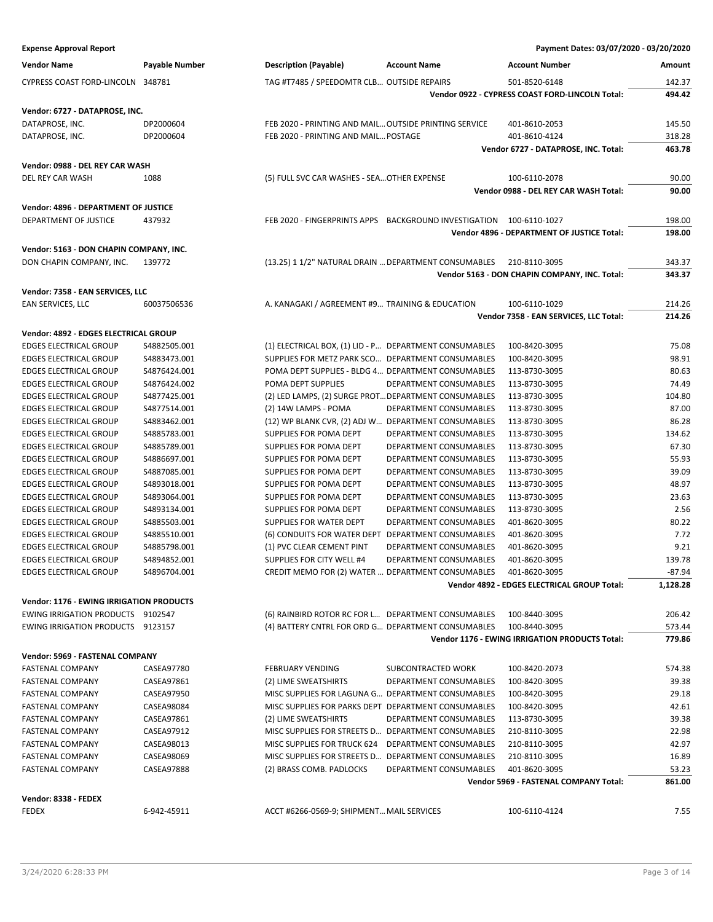| <b>Vendor Name</b>         | Pavable Number | <b>Description (Payable)</b>               | <b>Account Name</b> | Account Number | Amount |
|----------------------------|----------------|--------------------------------------------|---------------------|----------------|--------|
| CYPRESS COAST FORD-LINCOLN | 348781         | TAG #T7485 / SPEEDOMTR CLB OUTSIDE REPAIRS |                     | 501-8520-6148  | 142.37 |

### **Vendor: 6727 - DATAPROSE, INC.**

DATAPROSE, INC. **DATAPROSE, INC.** DP2000604 FEB 2020 - PRINTING AND MAIL... OUTSIDE PRINTING SERVICE 401-8610-2053 145.50 DATAPROSE, INC. DP2000604 FEB 2020 - PRINTING AND MAIL... POSTAGE 401-8610-4124 318.28

**Vendor: 0988 - DEL REY CAR WASH** DEL REY CAR WASH 1088 (5) FULL SVC CAR WASHES - SEA…OTHER EXPENSE 100-6110-2078 90.00

**Vendor: 4896 - DEPARTMENT OF JUSTICE** DEPARTMENT OF JUSTICE 437932 FEB 2020 - FINGERPRINTS APPS BACKGROUND INVESTIGATION 100-6110-1027 198.00

# **Vendor: 5163 - DON CHAPIN COMPANY, INC.**

DON CHAPIN COMPANY, INC. 139772 (13.25) 1 1/2" NATURAL DRAIN …DEPARTMENT CONSUMABLES 210-8110-3095 343.37

### **Vendor: 7358 - EAN SERVICES, LLC**

| EAN SERVICES, LLC | 60037506536 |
|-------------------|-------------|
|                   |             |

### **Vendor: 4892 - EDGES ELECTRICAL GROUP**

|                               |              | Vendor 4892 - EDGES ELECTRICAL GROUP Total:                                 | 1,128.28 |
|-------------------------------|--------------|-----------------------------------------------------------------------------|----------|
| <b>EDGES ELECTRICAL GROUP</b> | S4896704.001 | CREDIT MEMO FOR (2) WATER  DEPARTMENT CONSUMABLES<br>401-8620-3095          | $-87.94$ |
| <b>EDGES ELECTRICAL GROUP</b> | S4894852.001 | SUPPLIES FOR CITY WELL #4<br><b>DEPARTMENT CONSUMABLES</b><br>401-8620-3095 | 139.78   |
| <b>EDGES ELECTRICAL GROUP</b> | S4885798.001 | (1) PVC CLEAR CEMENT PINT<br>DEPARTMENT CONSUMABLES<br>401-8620-3095        | 9.21     |
| <b>EDGES ELECTRICAL GROUP</b> | S4885510.001 | (6) CONDUITS FOR WATER DEPT<br>DEPARTMENT CONSUMABLES<br>401-8620-3095      | 7.72     |
| <b>EDGES ELECTRICAL GROUP</b> | S4885503.001 | SUPPLIES FOR WATER DEPT<br>DEPARTMENT CONSUMABLES<br>401-8620-3095          | 80.22    |
| <b>EDGES ELECTRICAL GROUP</b> | S4893134.001 | DEPARTMENT CONSUMABLES<br>SUPPLIES FOR POMA DEPT<br>113-8730-3095           | 2.56     |
| <b>EDGES ELECTRICAL GROUP</b> | S4893064.001 | SUPPLIES FOR POMA DEPT<br>DEPARTMENT CONSUMABLES<br>113-8730-3095           | 23.63    |
| <b>EDGES ELECTRICAL GROUP</b> | S4893018.001 | SUPPLIES FOR POMA DEPT<br>113-8730-3095<br>DEPARTMENT CONSUMABLES           | 48.97    |
| <b>EDGES ELECTRICAL GROUP</b> | S4887085.001 | SUPPLIES FOR POMA DEPT<br>DEPARTMENT CONSUMABLES<br>113-8730-3095           | 39.09    |
| <b>EDGES ELECTRICAL GROUP</b> | S4886697.001 | SUPPLIES FOR POMA DEPT<br>DEPARTMENT CONSUMABLES<br>113-8730-3095           | 55.93    |
| <b>EDGES ELECTRICAL GROUP</b> | S4885789.001 | SUPPLIES FOR POMA DEPT<br>DEPARTMENT CONSUMABLES<br>113-8730-3095           | 67.30    |
| EDGES ELECTRICAL GROUP        | S4885783.001 | SUPPLIES FOR POMA DEPT<br>DEPARTMENT CONSUMABLES<br>113-8730-3095           | 134.62   |
| <b>EDGES ELECTRICAL GROUP</b> | S4883462.001 | (12) WP BLANK CVR, (2) ADJ W DEPARTMENT CONSUMABLES<br>113-8730-3095        | 86.28    |
| <b>EDGES ELECTRICAL GROUP</b> | S4877514.001 | (2) 14W LAMPS - POMA<br>DEPARTMENT CONSUMABLES<br>113-8730-3095             | 87.00    |
| <b>EDGES ELECTRICAL GROUP</b> | S4877425.001 | (2) LED LAMPS, (2) SURGE PROTDEPARTMENT CONSUMABLES<br>113-8730-3095        | 104.80   |
| <b>EDGES ELECTRICAL GROUP</b> | S4876424.002 | POMA DEPT SUPPLIES<br>DEPARTMENT CONSUMABLES<br>113-8730-3095               | 74.49    |
| <b>EDGES ELECTRICAL GROUP</b> | S4876424.001 | POMA DEPT SUPPLIES - BLDG 4 DEPARTMENT CONSUMABLES<br>113-8730-3095         | 80.63    |
| <b>EDGES ELECTRICAL GROUP</b> | S4883473.001 | SUPPLIES FOR METZ PARK SCO DEPARTMENT CONSUMABLES<br>100-8420-3095          | 98.91    |
| EDGES ELECTRICAL GROUP        | S4882505.001 | (1) ELECTRICAL BOX, (1) LID - P DEPARTMENT CONSUMABLES<br>100-8420-3095     | 75.08    |
|                               |              |                                                                             |          |

### **Vendor: 1176 - EWING IRRIGATION PRODUCTS**

| <b>EWING IRRIGATION PRODUCTS</b> | 9102547 |
|----------------------------------|---------|
| EWING IRRIGATION PRODUCTS        | 9123157 |

### **Vendor: 5969 - FASTENAL COMPANY**

| <b>FASTENAL COMPANY</b> | CASEA97780        | <b>FEBRUARY VENDING</b>                           | SUBCONTRACTED WORK     | 100-8420-2073                         | 574.38 |
|-------------------------|-------------------|---------------------------------------------------|------------------------|---------------------------------------|--------|
| <b>FASTENAL COMPANY</b> | CASEA97861        | (2) LIME SWEATSHIRTS                              | DEPARTMENT CONSUMABLES | 100-8420-3095                         | 39.38  |
| <b>FASTENAL COMPANY</b> | CASEA97950        | MISC SUPPLIES FOR LAGUNA G DEPARTMENT CONSUMABLES |                        | 100-8420-3095                         | 29.18  |
| <b>FASTENAL COMPANY</b> | CASEA98084        | MISC SUPPLIES FOR PARKS DEPT                      | DEPARTMENT CONSUMABLES | 100-8420-3095                         | 42.61  |
| <b>FASTENAL COMPANY</b> | CASEA97861        | (2) LIME SWEATSHIRTS                              | DEPARTMENT CONSUMABLES | 113-8730-3095                         | 39.38  |
| <b>FASTENAL COMPANY</b> | CASEA97912        | MISC SUPPLIES FOR STREETS D                       | DEPARTMENT CONSUMABLES | 210-8110-3095                         | 22.98  |
| <b>FASTENAL COMPANY</b> | CASEA98013        | MISC SUPPLIES FOR TRUCK 624                       | DEPARTMENT CONSUMABLES | 210-8110-3095                         | 42.97  |
| <b>FASTENAL COMPANY</b> | CASEA98069        | MISC SUPPLIES FOR STREETS D                       | DEPARTMENT CONSUMABLES | 210-8110-3095                         | 16.89  |
| <b>FASTENAL COMPANY</b> | <b>CASEA97888</b> | (2) BRASS COMB. PADLOCKS                          | DEPARTMENT CONSUMABLES | 401-8620-3095                         | 53.23  |
|                         |                   |                                                   |                        | Vendor 5969 - FASTENAL COMPANY Total: | 861.00 |
| Vendor: 8338 - FEDEX    |                   |                                                   |                        |                                       |        |
| <b>FEDEX</b>            | 6-942-45911       | ACCT #6266-0569-9; SHIPMENT MAIL SERVICES         |                        | 100-6110-4124                         | 7.55   |

# **Expense Approval Report Payment Dates: 03/07/2020 - 03/20/2020**

**Vendor 6727 - DATAPROSE, INC. Total: 463.78**

**Vendor 0988 - DEL REY CAR WASH Total: 90.00**

**Vendor 7358 - EAN SERVICES, LLC Total: 214.26**

**Vendor 4896 - DEPARTMENT OF JUSTICE Total: 198.00**

**Vendor 5163 - DON CHAPIN COMPANY, INC. Total: 343.37**

**Vendor 1176 - EWING IRRIGATION PRODUCTS Total: 779.86**

**Vendor 0922 - CYPRESS COAST FORD-LINCOLN Total: 494.42**

A. KANAGAKI / AGREEMENT #9... TRAINING & EDUCATION 100-6110-1029 214.26

(6) RAINBIRD ROTOR RC FOR L… DEPARTMENT CONSUMABLES 100-8440-3095 206.42 (4) BATTERY CNTRL FOR ORD G... DEPARTMENT CONSUMABLES 100-8440-3095 573.44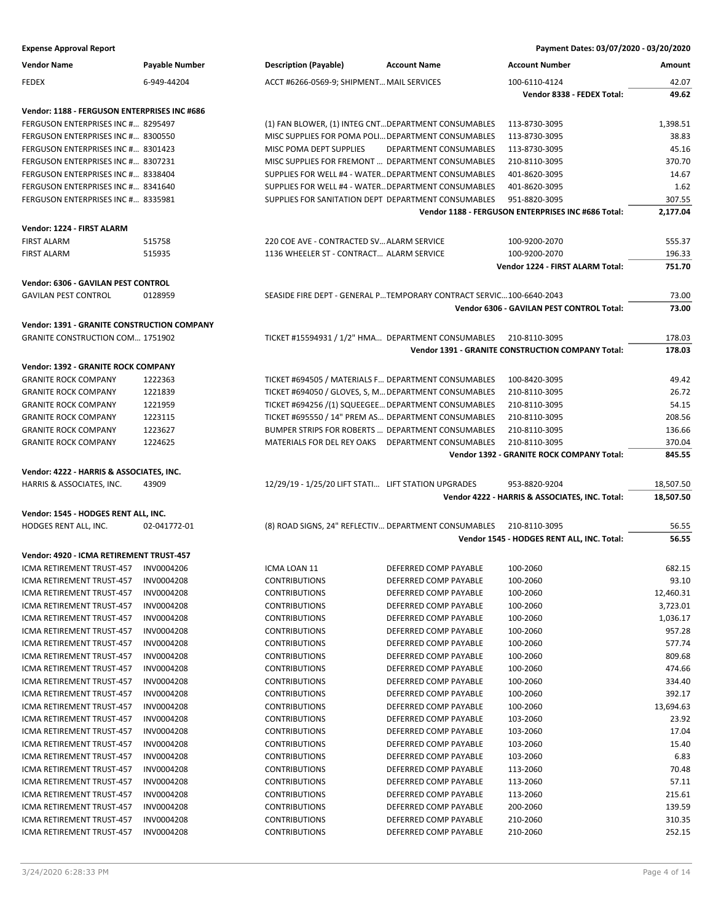| Payment Dates: 03/07/2020 - 03/20/2020 |
|----------------------------------------|
|                                        |

| <b>Vendor Name</b>                                 | <b>Payable Number</b> | <b>Description (Payable)</b>                         | <b>Account Name</b>                                                   | <b>Account Number</b>                              | Amount    |
|----------------------------------------------------|-----------------------|------------------------------------------------------|-----------------------------------------------------------------------|----------------------------------------------------|-----------|
| <b>FEDEX</b>                                       | 6-949-44204           | ACCT #6266-0569-9; SHIPMENT MAIL SERVICES            |                                                                       | 100-6110-4124                                      | 42.07     |
|                                                    |                       |                                                      |                                                                       | Vendor 8338 - FEDEX Total:                         | 49.62     |
|                                                    |                       |                                                      |                                                                       |                                                    |           |
| Vendor: 1188 - FERGUSON ENTERPRISES INC #686       |                       |                                                      |                                                                       |                                                    |           |
| FERGUSON ENTERPRISES INC # 8295497                 |                       | (1) FAN BLOWER, (1) INTEG CNT DEPARTMENT CONSUMABLES |                                                                       | 113-8730-3095                                      | 1,398.51  |
| FERGUSON ENTERPRISES INC # 8300550                 |                       | MISC SUPPLIES FOR POMA POLI DEPARTMENT CONSUMABLES   |                                                                       | 113-8730-3095                                      | 38.83     |
| FERGUSON ENTERPRISES INC # 8301423                 |                       | MISC POMA DEPT SUPPLIES                              | DEPARTMENT CONSUMABLES                                                | 113-8730-3095                                      | 45.16     |
| FERGUSON ENTERPRISES INC # 8307231                 |                       | MISC SUPPLIES FOR FREMONT  DEPARTMENT CONSUMABLES    |                                                                       | 210-8110-3095                                      | 370.70    |
| FERGUSON ENTERPRISES INC # 8338404                 |                       | SUPPLIES FOR WELL #4 - WATER DEPARTMENT CONSUMABLES  |                                                                       | 401-8620-3095                                      | 14.67     |
| FERGUSON ENTERPRISES INC # 8341640                 |                       | SUPPLIES FOR WELL #4 - WATER DEPARTMENT CONSUMABLES  |                                                                       | 401-8620-3095                                      | 1.62      |
| FERGUSON ENTERPRISES INC # 8335981                 |                       | SUPPLIES FOR SANITATION DEPT DEPARTMENT CONSUMABLES  |                                                                       | 951-8820-3095                                      | 307.55    |
|                                                    |                       |                                                      |                                                                       | Vendor 1188 - FERGUSON ENTERPRISES INC #686 Total: | 2,177.04  |
| Vendor: 1224 - FIRST ALARM                         |                       |                                                      |                                                                       |                                                    |           |
| <b>FIRST ALARM</b>                                 | 515758                | 220 COE AVE - CONTRACTED SV ALARM SERVICE            |                                                                       | 100-9200-2070                                      | 555.37    |
| <b>FIRST ALARM</b>                                 | 515935                | 1136 WHEELER ST - CONTRACT ALARM SERVICE             |                                                                       | 100-9200-2070                                      | 196.33    |
|                                                    |                       |                                                      |                                                                       | Vendor 1224 - FIRST ALARM Total:                   | 751.70    |
| Vendor: 6306 - GAVILAN PEST CONTROL                |                       |                                                      |                                                                       |                                                    |           |
| <b>GAVILAN PEST CONTROL</b>                        | 0128959               |                                                      | SEASIDE FIRE DEPT - GENERAL P TEMPORARY CONTRACT SERVIC 100-6640-2043 |                                                    | 73.00     |
|                                                    |                       |                                                      |                                                                       | Vendor 6306 - GAVILAN PEST CONTROL Total:          | 73.00     |
| <b>Vendor: 1391 - GRANITE CONSTRUCTION COMPANY</b> |                       |                                                      |                                                                       |                                                    |           |
| <b>GRANITE CONSTRUCTION COM 1751902</b>            |                       | TICKET #15594931 / 1/2" HMA DEPARTMENT CONSUMABLES   |                                                                       | 210-8110-3095                                      | 178.03    |
|                                                    |                       |                                                      |                                                                       | Vendor 1391 - GRANITE CONSTRUCTION COMPANY Total:  | 178.03    |
|                                                    |                       |                                                      |                                                                       |                                                    |           |
| Vendor: 1392 - GRANITE ROCK COMPANY                |                       |                                                      |                                                                       |                                                    |           |
| <b>GRANITE ROCK COMPANY</b>                        | 1222363               | TICKET #694505 / MATERIALS F DEPARTMENT CONSUMABLES  |                                                                       | 100-8420-3095                                      | 49.42     |
| <b>GRANITE ROCK COMPANY</b>                        | 1221839               | TICKET #694050 / GLOVES, S, M DEPARTMENT CONSUMABLES |                                                                       | 210-8110-3095                                      | 26.72     |
| <b>GRANITE ROCK COMPANY</b>                        | 1221959               | TICKET #694256 /(1) SQUEEGEE DEPARTMENT CONSUMABLES  |                                                                       | 210-8110-3095                                      | 54.15     |
| <b>GRANITE ROCK COMPANY</b>                        | 1223115               | TICKET #695550 / 14" PREM AS DEPARTMENT CONSUMABLES  |                                                                       | 210-8110-3095                                      | 208.56    |
| <b>GRANITE ROCK COMPANY</b>                        | 1223627               | BUMPER STRIPS FOR ROBERTS  DEPARTMENT CONSUMABLES    |                                                                       | 210-8110-3095                                      | 136.66    |
| <b>GRANITE ROCK COMPANY</b>                        | 1224625               | MATERIALS FOR DEL REY OAKS DEPARTMENT CONSUMABLES    |                                                                       | 210-8110-3095                                      | 370.04    |
|                                                    |                       |                                                      |                                                                       | Vendor 1392 - GRANITE ROCK COMPANY Total:          | 845.55    |
| Vendor: 4222 - HARRIS & ASSOCIATES, INC.           |                       |                                                      |                                                                       |                                                    |           |
|                                                    |                       |                                                      |                                                                       |                                                    |           |
| HARRIS & ASSOCIATES, INC.                          | 43909                 | 12/29/19 - 1/25/20 LIFT STATI LIFT STATION UPGRADES  |                                                                       | 953-8820-9204                                      | 18,507.50 |
|                                                    |                       |                                                      |                                                                       | Vendor 4222 - HARRIS & ASSOCIATES, INC. Total:     | 18,507.50 |
|                                                    |                       |                                                      |                                                                       |                                                    |           |
| Vendor: 1545 - HODGES RENT ALL, INC.               |                       |                                                      |                                                                       |                                                    |           |
| HODGES RENT ALL, INC.                              | 02-041772-01          | (8) ROAD SIGNS, 24" REFLECTIV DEPARTMENT CONSUMABLES |                                                                       | 210-8110-3095                                      | 56.55     |
|                                                    |                       |                                                      |                                                                       | Vendor 1545 - HODGES RENT ALL, INC. Total:         | 56.55     |
| Vendor: 4920 - ICMA RETIREMENT TRUST-457           |                       |                                                      |                                                                       |                                                    |           |
| ICMA RETIREMENT TRUST-457 INV0004206               |                       | ICMA LOAN 11                                         | DEFERRED COMP PAYABLE                                                 | 100-2060                                           | 682.15    |
| ICMA RETIREMENT TRUST-457                          | INV0004208            | <b>CONTRIBUTIONS</b>                                 | DEFERRED COMP PAYABLE                                                 | 100-2060                                           | 93.10     |
| ICMA RETIREMENT TRUST-457                          | <b>INV0004208</b>     | <b>CONTRIBUTIONS</b>                                 | DEFERRED COMP PAYABLE                                                 | 100-2060                                           | 12,460.31 |
| ICMA RETIREMENT TRUST-457                          | INV0004208            | <b>CONTRIBUTIONS</b>                                 | DEFERRED COMP PAYABLE                                                 | 100-2060                                           | 3,723.01  |
| ICMA RETIREMENT TRUST-457                          | INV0004208            | <b>CONTRIBUTIONS</b>                                 | DEFERRED COMP PAYABLE                                                 | 100-2060                                           | 1,036.17  |
| <b>ICMA RETIREMENT TRUST-457</b>                   | <b>INV0004208</b>     | <b>CONTRIBUTIONS</b>                                 | DEFERRED COMP PAYABLE                                                 | 100-2060                                           | 957.28    |
| ICMA RETIREMENT TRUST-457                          | <b>INV0004208</b>     | <b>CONTRIBUTIONS</b>                                 | DEFERRED COMP PAYABLE                                                 | 100-2060                                           | 577.74    |
| ICMA RETIREMENT TRUST-457                          | INV0004208            | <b>CONTRIBUTIONS</b>                                 | DEFERRED COMP PAYABLE                                                 | 100-2060                                           | 809.68    |
| ICMA RETIREMENT TRUST-457                          | <b>INV0004208</b>     | <b>CONTRIBUTIONS</b>                                 | DEFERRED COMP PAYABLE                                                 | 100-2060                                           | 474.66    |
| ICMA RETIREMENT TRUST-457                          | <b>INV0004208</b>     | <b>CONTRIBUTIONS</b>                                 | DEFERRED COMP PAYABLE                                                 | 100-2060                                           | 334.40    |
| ICMA RETIREMENT TRUST-457                          | INV0004208            | <b>CONTRIBUTIONS</b>                                 | DEFERRED COMP PAYABLE                                                 | 100-2060                                           | 392.17    |
| ICMA RETIREMENT TRUST-457                          | INV0004208            | <b>CONTRIBUTIONS</b>                                 | DEFERRED COMP PAYABLE                                                 | 100-2060                                           | 13,694.63 |
| ICMA RETIREMENT TRUST-457                          | INV0004208            | <b>CONTRIBUTIONS</b>                                 | DEFERRED COMP PAYABLE                                                 | 103-2060                                           | 23.92     |
| ICMA RETIREMENT TRUST-457                          | <b>INV0004208</b>     | <b>CONTRIBUTIONS</b>                                 | DEFERRED COMP PAYABLE                                                 | 103-2060                                           | 17.04     |
| ICMA RETIREMENT TRUST-457                          | <b>INV0004208</b>     | <b>CONTRIBUTIONS</b>                                 | DEFERRED COMP PAYABLE                                                 | 103-2060                                           | 15.40     |
| ICMA RETIREMENT TRUST-457                          | <b>INV0004208</b>     | <b>CONTRIBUTIONS</b>                                 | DEFERRED COMP PAYABLE                                                 | 103-2060                                           | 6.83      |
| ICMA RETIREMENT TRUST-457                          | <b>INV0004208</b>     | <b>CONTRIBUTIONS</b>                                 | DEFERRED COMP PAYABLE                                                 | 113-2060                                           | 70.48     |
| ICMA RETIREMENT TRUST-457                          | <b>INV0004208</b>     | <b>CONTRIBUTIONS</b>                                 | DEFERRED COMP PAYABLE                                                 | 113-2060                                           | 57.11     |
| ICMA RETIREMENT TRUST-457                          | <b>INV0004208</b>     | <b>CONTRIBUTIONS</b>                                 | DEFERRED COMP PAYABLE                                                 | 113-2060                                           | 215.61    |
| ICMA RETIREMENT TRUST-457                          | <b>INV0004208</b>     | <b>CONTRIBUTIONS</b>                                 | DEFERRED COMP PAYABLE                                                 | 200-2060                                           | 139.59    |
| ICMA RETIREMENT TRUST-457                          | INV0004208            | <b>CONTRIBUTIONS</b>                                 | DEFERRED COMP PAYABLE                                                 | 210-2060                                           | 310.35    |
| ICMA RETIREMENT TRUST-457                          | <b>INV0004208</b>     | <b>CONTRIBUTIONS</b>                                 | DEFERRED COMP PAYABLE                                                 | 210-2060                                           | 252.15    |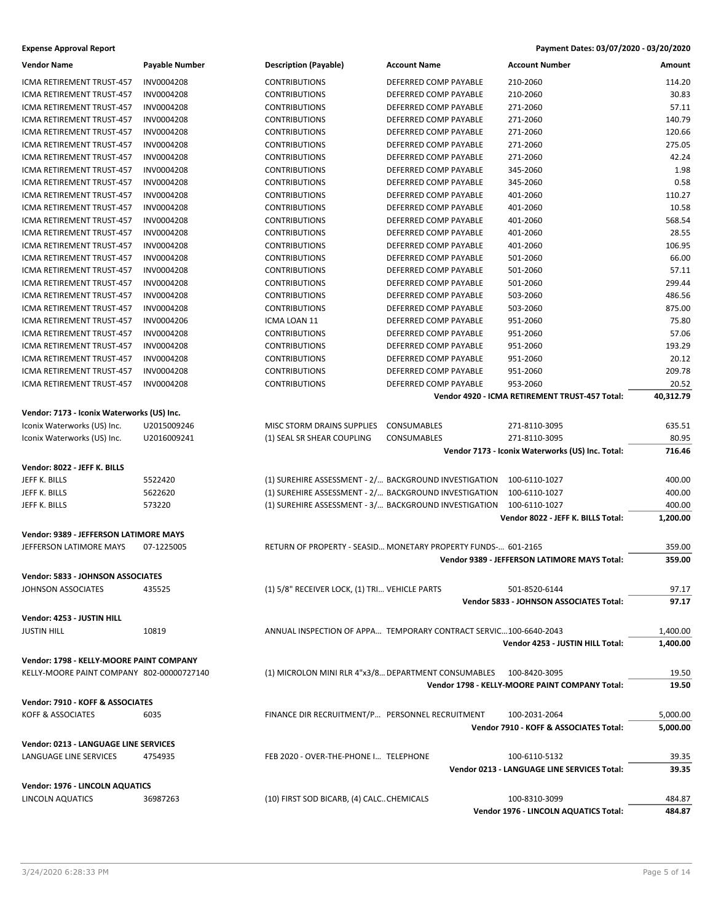# **Expense Approval Report Payment Dates: 03/07/2020 - 03/20/2020**

| <b>Vendor Name</b>                         | <b>Payable Number</b> | <b>Description (Payable)</b>                          | <b>Account Name</b>                                               | Account Number                                   | Amount    |
|--------------------------------------------|-----------------------|-------------------------------------------------------|-------------------------------------------------------------------|--------------------------------------------------|-----------|
| ICMA RETIREMENT TRUST-457                  | <b>INV0004208</b>     | <b>CONTRIBUTIONS</b>                                  | DEFERRED COMP PAYABLE                                             | 210-2060                                         | 114.20    |
| ICMA RETIREMENT TRUST-457                  | INV0004208            | <b>CONTRIBUTIONS</b>                                  | DEFERRED COMP PAYABLE                                             | 210-2060                                         | 30.83     |
| ICMA RETIREMENT TRUST-457                  | INV0004208            | <b>CONTRIBUTIONS</b>                                  | DEFERRED COMP PAYABLE                                             | 271-2060                                         | 57.11     |
| ICMA RETIREMENT TRUST-457                  | INV0004208            | <b>CONTRIBUTIONS</b>                                  | DEFERRED COMP PAYABLE                                             | 271-2060                                         | 140.79    |
| ICMA RETIREMENT TRUST-457                  | INV0004208            | <b>CONTRIBUTIONS</b>                                  | DEFERRED COMP PAYABLE                                             | 271-2060                                         | 120.66    |
| ICMA RETIREMENT TRUST-457                  | <b>INV0004208</b>     | <b>CONTRIBUTIONS</b>                                  | DEFERRED COMP PAYABLE                                             | 271-2060                                         | 275.05    |
| ICMA RETIREMENT TRUST-457                  | INV0004208            | <b>CONTRIBUTIONS</b>                                  | DEFERRED COMP PAYABLE                                             | 271-2060                                         | 42.24     |
| ICMA RETIREMENT TRUST-457                  | INV0004208            | <b>CONTRIBUTIONS</b>                                  | DEFERRED COMP PAYABLE                                             | 345-2060                                         | 1.98      |
| ICMA RETIREMENT TRUST-457                  | <b>INV0004208</b>     | <b>CONTRIBUTIONS</b>                                  | DEFERRED COMP PAYABLE                                             | 345-2060                                         | 0.58      |
| <b>ICMA RETIREMENT TRUST-457</b>           | INV0004208            | <b>CONTRIBUTIONS</b>                                  | DEFERRED COMP PAYABLE                                             | 401-2060                                         | 110.27    |
| ICMA RETIREMENT TRUST-457                  | <b>INV0004208</b>     | <b>CONTRIBUTIONS</b>                                  | DEFERRED COMP PAYABLE                                             | 401-2060                                         | 10.58     |
| ICMA RETIREMENT TRUST-457                  | INV0004208            | <b>CONTRIBUTIONS</b>                                  | DEFERRED COMP PAYABLE                                             | 401-2060                                         | 568.54    |
| ICMA RETIREMENT TRUST-457                  | INV0004208            | <b>CONTRIBUTIONS</b>                                  | DEFERRED COMP PAYABLE                                             | 401-2060                                         | 28.55     |
| ICMA RETIREMENT TRUST-457                  | INV0004208            | <b>CONTRIBUTIONS</b>                                  | DEFERRED COMP PAYABLE                                             | 401-2060                                         | 106.95    |
| ICMA RETIREMENT TRUST-457                  | INV0004208            | <b>CONTRIBUTIONS</b>                                  | DEFERRED COMP PAYABLE                                             | 501-2060                                         | 66.00     |
| ICMA RETIREMENT TRUST-457                  | <b>INV0004208</b>     | <b>CONTRIBUTIONS</b>                                  | DEFERRED COMP PAYABLE                                             | 501-2060                                         | 57.11     |
| ICMA RETIREMENT TRUST-457                  | INV0004208            | <b>CONTRIBUTIONS</b>                                  | DEFERRED COMP PAYABLE                                             | 501-2060                                         | 299.44    |
| ICMA RETIREMENT TRUST-457                  | INV0004208            | <b>CONTRIBUTIONS</b>                                  | DEFERRED COMP PAYABLE                                             | 503-2060                                         | 486.56    |
| ICMA RETIREMENT TRUST-457                  | <b>INV0004208</b>     | <b>CONTRIBUTIONS</b>                                  | DEFERRED COMP PAYABLE                                             | 503-2060                                         | 875.00    |
| ICMA RETIREMENT TRUST-457                  | INV0004206            | ICMA LOAN 11                                          | DEFERRED COMP PAYABLE                                             | 951-2060                                         | 75.80     |
| ICMA RETIREMENT TRUST-457                  | <b>INV0004208</b>     | <b>CONTRIBUTIONS</b>                                  | DEFERRED COMP PAYABLE                                             | 951-2060                                         | 57.06     |
| ICMA RETIREMENT TRUST-457                  | <b>INV0004208</b>     | <b>CONTRIBUTIONS</b>                                  | DEFERRED COMP PAYABLE                                             | 951-2060                                         | 193.29    |
| <b>ICMA RETIREMENT TRUST-457</b>           | INV0004208            | <b>CONTRIBUTIONS</b>                                  | DEFERRED COMP PAYABLE                                             | 951-2060                                         | 20.12     |
| ICMA RETIREMENT TRUST-457                  | INV0004208            | <b>CONTRIBUTIONS</b>                                  | DEFERRED COMP PAYABLE                                             | 951-2060                                         | 209.78    |
| ICMA RETIREMENT TRUST-457                  | INV0004208            | <b>CONTRIBUTIONS</b>                                  | DEFERRED COMP PAYABLE                                             | 953-2060                                         | 20.52     |
|                                            |                       |                                                       |                                                                   | Vendor 4920 - ICMA RETIREMENT TRUST-457 Total:   | 40,312.79 |
|                                            |                       |                                                       |                                                                   |                                                  |           |
| Vendor: 7173 - Iconix Waterworks (US) Inc. |                       |                                                       |                                                                   |                                                  |           |
| Iconix Waterworks (US) Inc.                | U2015009246           | MISC STORM DRAINS SUPPLIES                            | CONSUMABLES                                                       | 271-8110-3095                                    | 635.51    |
| Iconix Waterworks (US) Inc.                | U2016009241           | (1) SEAL SR SHEAR COUPLING                            | CONSUMABLES                                                       | 271-8110-3095                                    | 80.95     |
|                                            |                       |                                                       |                                                                   | Vendor 7173 - Iconix Waterworks (US) Inc. Total: | 716.46    |
| Vendor: 8022 - JEFF K. BILLS               |                       |                                                       |                                                                   |                                                  |           |
| JEFF K. BILLS                              | 5522420               |                                                       | (1) SUREHIRE ASSESSMENT - 2/ BACKGROUND INVESTIGATION             | 100-6110-1027                                    | 400.00    |
| JEFF K. BILLS                              | 5622620               |                                                       | (1) SUREHIRE ASSESSMENT - 2/ BACKGROUND INVESTIGATION             | 100-6110-1027                                    | 400.00    |
| JEFF K. BILLS                              | 573220                | (1) SUREHIRE ASSESSMENT - 3/ BACKGROUND INVESTIGATION |                                                                   | 100-6110-1027                                    | 400.00    |
|                                            |                       |                                                       |                                                                   | Vendor 8022 - JEFF K. BILLS Total:               | 1,200.00  |
| Vendor: 9389 - JEFFERSON LATIMORE MAYS     |                       |                                                       |                                                                   |                                                  |           |
| JEFFERSON LATIMORE MAYS                    | 07-1225005            |                                                       | RETURN OF PROPERTY - SEASID MONETARY PROPERTY FUNDS- 601-2165     |                                                  | 359.00    |
|                                            |                       |                                                       |                                                                   | Vendor 9389 - JEFFERSON LATIMORE MAYS Total:     | 359.00    |
|                                            |                       |                                                       |                                                                   |                                                  |           |
| Vendor: 5833 - JOHNSON ASSOCIATES          |                       |                                                       |                                                                   |                                                  |           |
| JOHNSON ASSOCIATES                         | 435525                | (1) 5/8" RECEIVER LOCK, (1) TRI VEHICLE PARTS         |                                                                   | 501-8520-6144                                    | 97.17     |
|                                            |                       |                                                       |                                                                   | Vendor 5833 - JOHNSON ASSOCIATES Total:          | 97.17     |
| Vendor: 4253 - JUSTIN HILL                 |                       |                                                       |                                                                   |                                                  |           |
| <b>JUSTIN HILL</b>                         | 10819                 |                                                       | ANNUAL INSPECTION OF APPA TEMPORARY CONTRACT SERVIC100-6640-2043  |                                                  | 1,400.00  |
|                                            |                       |                                                       |                                                                   | Vendor 4253 - JUSTIN HILL Total:                 | 1,400.00  |
| Vendor: 1798 - KELLY-MOORE PAINT COMPANY   |                       |                                                       |                                                                   |                                                  |           |
| KELLY-MOORE PAINT COMPANY 802-00000727140  |                       |                                                       | (1) MICROLON MINI RLR 4"x3/8 DEPARTMENT CONSUMABLES 100-8420-3095 |                                                  | 19.50     |
|                                            |                       |                                                       |                                                                   | Vendor 1798 - KELLY-MOORE PAINT COMPANY Total:   | 19.50     |
|                                            |                       |                                                       |                                                                   |                                                  |           |
| Vendor: 7910 - KOFF & ASSOCIATES           |                       |                                                       |                                                                   |                                                  |           |
| KOFF & ASSOCIATES                          | 6035                  | FINANCE DIR RECRUITMENT/P PERSONNEL RECRUITMENT       |                                                                   | 100-2031-2064                                    | 5,000.00  |
|                                            |                       |                                                       |                                                                   | Vendor 7910 - KOFF & ASSOCIATES Total:           | 5,000.00  |
| Vendor: 0213 - LANGUAGE LINE SERVICES      |                       |                                                       |                                                                   |                                                  |           |
| LANGUAGE LINE SERVICES                     | 4754935               | FEB 2020 - OVER-THE-PHONE I TELEPHONE                 |                                                                   | 100-6110-5132                                    | 39.35     |
|                                            |                       |                                                       |                                                                   | Vendor 0213 - LANGUAGE LINE SERVICES Total:      | 39.35     |
| Vendor: 1976 - LINCOLN AQUATICS            |                       |                                                       |                                                                   |                                                  |           |
| LINCOLN AQUATICS                           | 36987263              | (10) FIRST SOD BICARB, (4) CALC. CHEMICALS            |                                                                   | 100-8310-3099                                    | 484.87    |
|                                            |                       |                                                       |                                                                   | Vendor 1976 - LINCOLN AQUATICS Total:            | 484.87    |
|                                            |                       |                                                       |                                                                   |                                                  |           |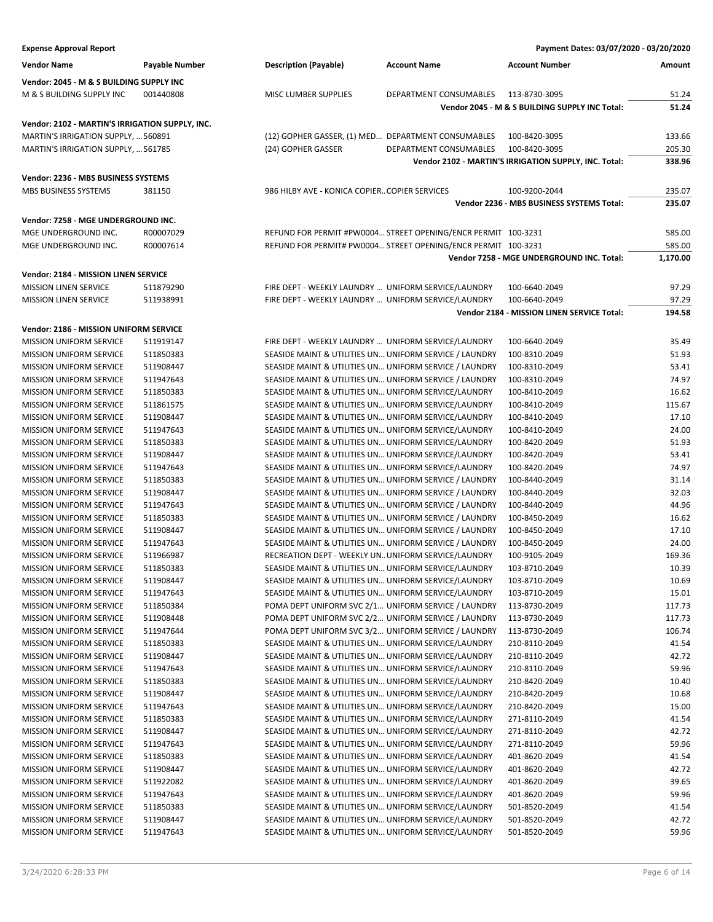| <b>Expense Approval Report</b>                              |                        |                                                                                                              |                                                               | Payment Dates: 03/07/2020 - 03/20/2020                |                |
|-------------------------------------------------------------|------------------------|--------------------------------------------------------------------------------------------------------------|---------------------------------------------------------------|-------------------------------------------------------|----------------|
| <b>Vendor Name</b>                                          | <b>Payable Number</b>  | <b>Description (Payable)</b>                                                                                 | <b>Account Name</b>                                           | <b>Account Number</b>                                 | Amount         |
| Vendor: 2045 - M & S BUILDING SUPPLY INC                    |                        |                                                                                                              |                                                               |                                                       |                |
| M & S BUILDING SUPPLY INC                                   | 001440808              | MISC LUMBER SUPPLIES                                                                                         | DEPARTMENT CONSUMABLES                                        | 113-8730-3095                                         | 51.24          |
|                                                             |                        |                                                                                                              |                                                               | Vendor 2045 - M & S BUILDING SUPPLY INC Total:        | 51.24          |
| Vendor: 2102 - MARTIN'S IRRIGATION SUPPLY, INC.             |                        |                                                                                                              |                                                               |                                                       |                |
| MARTIN'S IRRIGATION SUPPLY,  560891                         |                        |                                                                                                              | (12) GOPHER GASSER, (1) MED DEPARTMENT CONSUMABLES            | 100-8420-3095                                         | 133.66         |
| MARTIN'S IRRIGATION SUPPLY,  561785                         |                        | (24) GOPHER GASSER                                                                                           | DEPARTMENT CONSUMABLES                                        | 100-8420-3095                                         | 205.30         |
|                                                             |                        |                                                                                                              |                                                               | Vendor 2102 - MARTIN'S IRRIGATION SUPPLY, INC. Total: | 338.96         |
|                                                             |                        |                                                                                                              |                                                               |                                                       |                |
| Vendor: 2236 - MBS BUSINESS SYSTEMS<br>MBS BUSINESS SYSTEMS |                        | 986 HILBY AVE - KONICA COPIER COPIER SERVICES                                                                |                                                               | 100-9200-2044                                         | 235.07         |
|                                                             | 381150                 |                                                                                                              |                                                               | Vendor 2236 - MBS BUSINESS SYSTEMS Total:             | 235.07         |
|                                                             |                        |                                                                                                              |                                                               |                                                       |                |
| Vendor: 7258 - MGE UNDERGROUND INC.                         |                        |                                                                                                              |                                                               |                                                       |                |
| MGE UNDERGROUND INC.                                        | R00007029              |                                                                                                              | REFUND FOR PERMIT #PW0004 STREET OPENING/ENCR PERMIT 100-3231 |                                                       | 585.00         |
| MGE UNDERGROUND INC.                                        | R00007614              |                                                                                                              | REFUND FOR PERMIT# PW0004 STREET OPENING/ENCR PERMIT 100-3231 |                                                       | 585.00         |
|                                                             |                        |                                                                                                              |                                                               | Vendor 7258 - MGE UNDERGROUND INC. Total:             | 1,170.00       |
| Vendor: 2184 - MISSION LINEN SERVICE                        |                        |                                                                                                              |                                                               |                                                       |                |
| <b>MISSION LINEN SERVICE</b>                                | 511879290              | FIRE DEPT - WEEKLY LAUNDRY  UNIFORM SERVICE/LAUNDRY                                                          |                                                               | 100-6640-2049                                         | 97.29          |
| <b>MISSION LINEN SERVICE</b>                                | 511938991              | FIRE DEPT - WEEKLY LAUNDRY  UNIFORM SERVICE/LAUNDRY                                                          |                                                               | 100-6640-2049                                         | 97.29          |
|                                                             |                        |                                                                                                              |                                                               | Vendor 2184 - MISSION LINEN SERVICE Total:            | 194.58         |
| Vendor: 2186 - MISSION UNIFORM SERVICE                      |                        |                                                                                                              |                                                               |                                                       |                |
| <b>MISSION UNIFORM SERVICE</b>                              | 511919147              | FIRE DEPT - WEEKLY LAUNDRY  UNIFORM SERVICE/LAUNDRY                                                          |                                                               | 100-6640-2049                                         | 35.49          |
| <b>MISSION UNIFORM SERVICE</b>                              | 511850383              |                                                                                                              | SEASIDE MAINT & UTILITIES UN UNIFORM SERVICE / LAUNDRY        | 100-8310-2049                                         | 51.93          |
| <b>MISSION UNIFORM SERVICE</b>                              | 511908447              |                                                                                                              | SEASIDE MAINT & UTILITIES UN UNIFORM SERVICE / LAUNDRY        | 100-8310-2049                                         | 53.41          |
| <b>MISSION UNIFORM SERVICE</b>                              | 511947643              |                                                                                                              | SEASIDE MAINT & UTILITIES UN UNIFORM SERVICE / LAUNDRY        | 100-8310-2049                                         | 74.97          |
| <b>MISSION UNIFORM SERVICE</b>                              | 511850383              | SEASIDE MAINT & UTILITIES UN UNIFORM SERVICE/LAUNDRY                                                         |                                                               | 100-8410-2049                                         | 16.62          |
| <b>MISSION UNIFORM SERVICE</b>                              | 511861575              | SEASIDE MAINT & UTILITIES UN UNIFORM SERVICE/LAUNDRY                                                         |                                                               | 100-8410-2049                                         | 115.67         |
| <b>MISSION UNIFORM SERVICE</b>                              | 511908447              | SEASIDE MAINT & UTILITIES UN UNIFORM SERVICE/LAUNDRY                                                         |                                                               | 100-8410-2049                                         | 17.10          |
| <b>MISSION UNIFORM SERVICE</b>                              | 511947643              | SEASIDE MAINT & UTILITIES UN UNIFORM SERVICE/LAUNDRY                                                         |                                                               | 100-8410-2049                                         | 24.00          |
| MISSION UNIFORM SERVICE                                     | 511850383              | SEASIDE MAINT & UTILITIES UN UNIFORM SERVICE/LAUNDRY                                                         |                                                               | 100-8420-2049                                         | 51.93          |
| <b>MISSION UNIFORM SERVICE</b>                              | 511908447              | SEASIDE MAINT & UTILITIES UN UNIFORM SERVICE/LAUNDRY                                                         |                                                               | 100-8420-2049                                         | 53.41          |
| <b>MISSION UNIFORM SERVICE</b>                              | 511947643              | SEASIDE MAINT & UTILITIES UN UNIFORM SERVICE/LAUNDRY                                                         |                                                               | 100-8420-2049                                         | 74.97          |
| <b>MISSION UNIFORM SERVICE</b>                              | 511850383              |                                                                                                              | SEASIDE MAINT & UTILITIES UN UNIFORM SERVICE / LAUNDRY        | 100-8440-2049                                         | 31.14          |
| <b>MISSION UNIFORM SERVICE</b>                              | 511908447              |                                                                                                              | SEASIDE MAINT & UTILITIES UN UNIFORM SERVICE / LAUNDRY        | 100-8440-2049                                         | 32.03          |
| MISSION UNIFORM SERVICE                                     | 511947643              |                                                                                                              | SEASIDE MAINT & UTILITIES UN UNIFORM SERVICE / LAUNDRY        | 100-8440-2049                                         | 44.96          |
| <b>MISSION UNIFORM SERVICE</b>                              | 511850383              |                                                                                                              | SEASIDE MAINT & UTILITIES UN UNIFORM SERVICE / LAUNDRY        | 100-8450-2049                                         | 16.62          |
| <b>MISSION UNIFORM SERVICE</b>                              | 511908447              |                                                                                                              | SEASIDE MAINT & UTILITIES UN UNIFORM SERVICE / LAUNDRY        | 100-8450-2049                                         | 17.10          |
| <b>MISSION UNIFORM SERVICE</b>                              | 511947643              |                                                                                                              | SEASIDE MAINT & UTILITIES UN UNIFORM SERVICE / LAUNDRY        | 100-8450-2049                                         | 24.00          |
| <b>MISSION UNIFORM SERVICE</b>                              | 511966987              | RECREATION DEPT - WEEKLY UN UNIFORM SERVICE/LAUNDRY                                                          |                                                               | 100-9105-2049                                         | 169.36         |
| <b>MISSION UNIFORM SERVICE</b>                              | 511850383              | SEASIDE MAINT & UTILITIES UN UNIFORM SERVICE/LAUNDRY                                                         |                                                               | 103-8710-2049                                         | 10.39          |
| <b>MISSION UNIFORM SERVICE</b>                              | 511908447              | SEASIDE MAINT & UTILITIES UN UNIFORM SERVICE/LAUNDRY                                                         |                                                               | 103-8710-2049                                         | 10.69          |
| MISSION UNIFORM SERVICE                                     | 511947643              | SEASIDE MAINT & UTILITIES UN UNIFORM SERVICE/LAUNDRY                                                         |                                                               | 103-8710-2049                                         | 15.01          |
| MISSION UNIFORM SERVICE                                     | 511850384              |                                                                                                              | POMA DEPT UNIFORM SVC 2/1 UNIFORM SERVICE / LAUNDRY           | 113-8730-2049                                         | 117.73         |
| <b>MISSION UNIFORM SERVICE</b>                              | 511908448              |                                                                                                              | POMA DEPT UNIFORM SVC 2/2 UNIFORM SERVICE / LAUNDRY           | 113-8730-2049                                         | 117.73         |
| MISSION UNIFORM SERVICE                                     | 511947644              |                                                                                                              | POMA DEPT UNIFORM SVC 3/2 UNIFORM SERVICE / LAUNDRY           | 113-8730-2049                                         | 106.74         |
| MISSION UNIFORM SERVICE                                     | 511850383              | SEASIDE MAINT & UTILITIES UN UNIFORM SERVICE/LAUNDRY                                                         |                                                               | 210-8110-2049                                         | 41.54          |
| <b>MISSION UNIFORM SERVICE</b>                              | 511908447              | SEASIDE MAINT & UTILITIES UN UNIFORM SERVICE/LAUNDRY                                                         |                                                               | 210-8110-2049                                         | 42.72          |
| <b>MISSION UNIFORM SERVICE</b><br>MISSION UNIFORM SERVICE   | 511947643              | SEASIDE MAINT & UTILITIES UN UNIFORM SERVICE/LAUNDRY                                                         |                                                               | 210-8110-2049                                         | 59.96          |
|                                                             | 511850383              | SEASIDE MAINT & UTILITIES UN UNIFORM SERVICE/LAUNDRY                                                         |                                                               | 210-8420-2049<br>210-8420-2049                        | 10.40          |
| MISSION UNIFORM SERVICE<br>MISSION UNIFORM SERVICE          | 511908447<br>511947643 | SEASIDE MAINT & UTILITIES UN UNIFORM SERVICE/LAUNDRY<br>SEASIDE MAINT & UTILITIES UN UNIFORM SERVICE/LAUNDRY |                                                               | 210-8420-2049                                         | 10.68<br>15.00 |
| <b>MISSION UNIFORM SERVICE</b>                              | 511850383              | SEASIDE MAINT & UTILITIES UN UNIFORM SERVICE/LAUNDRY                                                         |                                                               | 271-8110-2049                                         | 41.54          |
| MISSION UNIFORM SERVICE                                     | 511908447              | SEASIDE MAINT & UTILITIES UN UNIFORM SERVICE/LAUNDRY                                                         |                                                               | 271-8110-2049                                         | 42.72          |
| <b>MISSION UNIFORM SERVICE</b>                              | 511947643              | SEASIDE MAINT & UTILITIES UN UNIFORM SERVICE/LAUNDRY                                                         |                                                               | 271-8110-2049                                         | 59.96          |
| MISSION UNIFORM SERVICE                                     | 511850383              | SEASIDE MAINT & UTILITIES UN UNIFORM SERVICE/LAUNDRY                                                         |                                                               | 401-8620-2049                                         | 41.54          |
| MISSION UNIFORM SERVICE                                     | 511908447              | SEASIDE MAINT & UTILITIES UN UNIFORM SERVICE/LAUNDRY                                                         |                                                               | 401-8620-2049                                         | 42.72          |
| <b>MISSION UNIFORM SERVICE</b>                              | 511922082              | SEASIDE MAINT & UTILITIES UN UNIFORM SERVICE/LAUNDRY                                                         |                                                               | 401-8620-2049                                         | 39.65          |
| MISSION UNIFORM SERVICE                                     | 511947643              | SEASIDE MAINT & UTILITIES UN UNIFORM SERVICE/LAUNDRY                                                         |                                                               | 401-8620-2049                                         | 59.96          |
| <b>MISSION UNIFORM SERVICE</b>                              | 511850383              | SEASIDE MAINT & UTILITIES UN UNIFORM SERVICE/LAUNDRY                                                         |                                                               | 501-8520-2049                                         | 41.54          |
| MISSION UNIFORM SERVICE                                     | 511908447              | SEASIDE MAINT & UTILITIES UN UNIFORM SERVICE/LAUNDRY                                                         |                                                               | 501-8520-2049                                         | 42.72          |
| MISSION UNIFORM SERVICE                                     | 511947643              | SEASIDE MAINT & UTILITIES UN UNIFORM SERVICE/LAUNDRY                                                         |                                                               | 501-8520-2049                                         | 59.96          |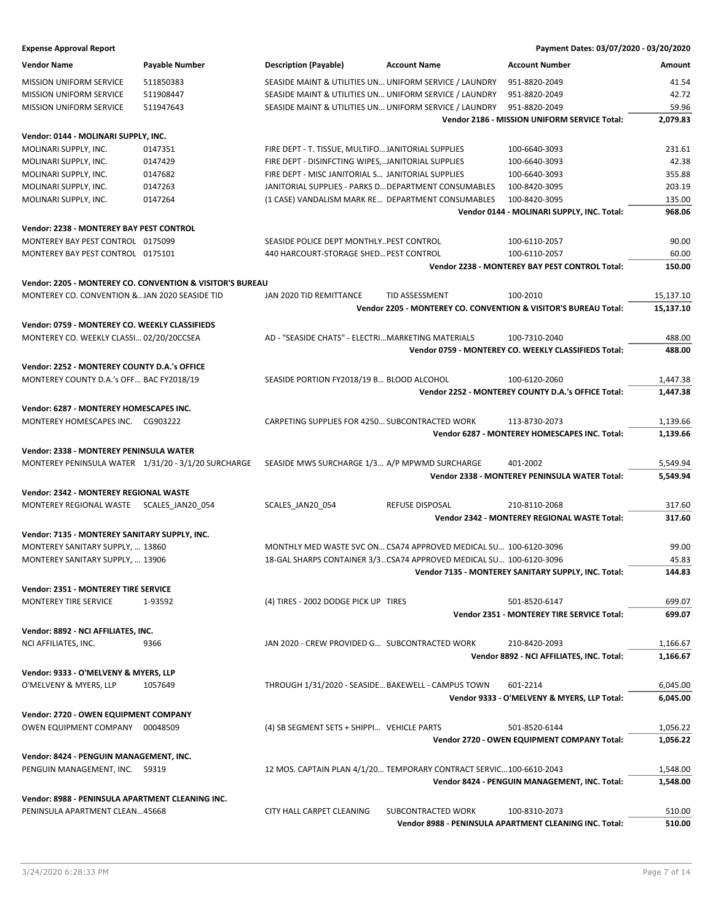| <b>Expense Approval Report</b> | Payment Dates: 03/07/2020 - 03/20/2020 |
|--------------------------------|----------------------------------------|
|--------------------------------|----------------------------------------|

| <b>Vendor Name</b>                                  | <b>Payable Number</b>                                     | <b>Description (Payable)</b>                         | <b>Account Name</b>                                                  | <b>Account Number</b>                                           | Amount    |
|-----------------------------------------------------|-----------------------------------------------------------|------------------------------------------------------|----------------------------------------------------------------------|-----------------------------------------------------------------|-----------|
| <b>MISSION UNIFORM SERVICE</b>                      | 511850383                                                 |                                                      | SEASIDE MAINT & UTILITIES UN UNIFORM SERVICE / LAUNDRY               | 951-8820-2049                                                   | 41.54     |
| <b>MISSION UNIFORM SERVICE</b>                      | 511908447                                                 |                                                      | SEASIDE MAINT & UTILITIES UN UNIFORM SERVICE / LAUNDRY               | 951-8820-2049                                                   | 42.72     |
| <b>MISSION UNIFORM SERVICE</b>                      | 511947643                                                 |                                                      | SEASIDE MAINT & UTILITIES UN UNIFORM SERVICE / LAUNDRY               | 951-8820-2049                                                   | 59.96     |
|                                                     |                                                           |                                                      |                                                                      | Vendor 2186 - MISSION UNIFORM SERVICE Total:                    | 2,079.83  |
| Vendor: 0144 - MOLINARI SUPPLY, INC.                |                                                           |                                                      |                                                                      |                                                                 |           |
| MOLINARI SUPPLY, INC.                               | 0147351                                                   | FIRE DEPT - T. TISSUE, MULTIFO JANITORIAL SUPPLIES   |                                                                      | 100-6640-3093                                                   | 231.61    |
| MOLINARI SUPPLY, INC.                               | 0147429                                                   | FIRE DEPT - DISINFCTING WIPES,JANITORIAL SUPPLIES    |                                                                      | 100-6640-3093                                                   | 42.38     |
| MOLINARI SUPPLY, INC.                               | 0147682                                                   | FIRE DEPT - MISC JANITORIAL S JANITORIAL SUPPLIES    |                                                                      | 100-6640-3093                                                   | 355.88    |
| MOLINARI SUPPLY, INC.                               | 0147263                                                   | JANITORIAL SUPPLIES - PARKS D DEPARTMENT CONSUMABLES |                                                                      | 100-8420-3095                                                   | 203.19    |
| MOLINARI SUPPLY, INC.                               | 0147264                                                   | (1 CASE) VANDALISM MARK RE DEPARTMENT CONSUMABLES    |                                                                      | 100-8420-3095                                                   | 135.00    |
|                                                     |                                                           |                                                      |                                                                      | Vendor 0144 - MOLINARI SUPPLY, INC. Total:                      | 968.06    |
| Vendor: 2238 - MONTEREY BAY PEST CONTROL            |                                                           |                                                      |                                                                      |                                                                 |           |
| MONTEREY BAY PEST CONTROL 0175099                   |                                                           | SEASIDE POLICE DEPT MONTHLYPEST CONTROL              |                                                                      | 100-6110-2057                                                   | 90.00     |
| MONTEREY BAY PEST CONTROL 0175101                   |                                                           | 440 HARCOURT-STORAGE SHED PEST CONTROL               |                                                                      | 100-6110-2057                                                   | 60.00     |
|                                                     |                                                           |                                                      |                                                                      | Vendor 2238 - MONTEREY BAY PEST CONTROL Total:                  | 150.00    |
|                                                     | Vendor: 2205 - MONTEREY CO. CONVENTION & VISITOR'S BUREAU |                                                      |                                                                      |                                                                 |           |
| MONTEREY CO. CONVENTION &JAN 2020 SEASIDE TID       |                                                           | <b>JAN 2020 TID REMITTANCE</b>                       | TID ASSESSMENT                                                       | 100-2010                                                        | 15,137.10 |
|                                                     |                                                           |                                                      |                                                                      | Vendor 2205 - MONTEREY CO. CONVENTION & VISITOR'S BUREAU Total: | 15,137.10 |
| Vendor: 0759 - MONTEREY CO. WEEKLY CLASSIFIEDS      |                                                           |                                                      |                                                                      |                                                                 |           |
| MONTEREY CO. WEEKLY CLASSI 02/20/20CCSEA            |                                                           | AD - "SEASIDE CHATS" - ELECTRIMARKETING MATERIALS    |                                                                      | 100-7310-2040                                                   | 488.00    |
|                                                     |                                                           |                                                      |                                                                      | Vendor 0759 - MONTEREY CO. WEEKLY CLASSIFIEDS Total:            | 488.00    |
|                                                     |                                                           |                                                      |                                                                      |                                                                 |           |
| Vendor: 2252 - MONTEREY COUNTY D.A.'s OFFICE        |                                                           |                                                      |                                                                      |                                                                 |           |
| MONTEREY COUNTY D.A.'s OFF BAC FY2018/19            |                                                           | SEASIDE PORTION FY2018/19 B BLOOD ALCOHOL            |                                                                      | 100-6120-2060                                                   | 1,447.38  |
|                                                     |                                                           |                                                      |                                                                      | Vendor 2252 - MONTEREY COUNTY D.A.'s OFFICE Total:              | 1,447.38  |
| Vendor: 6287 - MONTEREY HOMESCAPES INC.             |                                                           |                                                      |                                                                      |                                                                 |           |
| MONTEREY HOMESCAPES INC. CG903222                   |                                                           | CARPETING SUPPLIES FOR 4250 SUBCONTRACTED WORK       |                                                                      | 113-8730-2073                                                   | 1,139.66  |
|                                                     |                                                           |                                                      |                                                                      | Vendor 6287 - MONTEREY HOMESCAPES INC. Total:                   | 1,139.66  |
| Vendor: 2338 - MONTEREY PENINSULA WATER             |                                                           |                                                      |                                                                      |                                                                 |           |
| MONTEREY PENINSULA WATER 1/31/20 - 3/1/20 SURCHARGE |                                                           | SEASIDE MWS SURCHARGE 1/3 A/P MPWMD SURCHARGE        |                                                                      | 401-2002                                                        | 5,549.94  |
|                                                     |                                                           |                                                      |                                                                      | Vendor 2338 - MONTEREY PENINSULA WATER Total:                   | 5,549.94  |
| Vendor: 2342 - MONTEREY REGIONAL WASTE              |                                                           |                                                      |                                                                      |                                                                 |           |
| MONTEREY REGIONAL WASTE SCALES JAN20 054            |                                                           | SCALES_JAN20_054                                     | <b>REFUSE DISPOSAL</b>                                               | 210-8110-2068                                                   | 317.60    |
|                                                     |                                                           |                                                      |                                                                      | Vendor 2342 - MONTEREY REGIONAL WASTE Total:                    | 317.60    |
| Vendor: 7135 - MONTEREY SANITARY SUPPLY, INC.       |                                                           |                                                      |                                                                      |                                                                 |           |
| MONTEREY SANITARY SUPPLY,  13860                    |                                                           |                                                      | MONTHLY MED WASTE SVC ON CSA74 APPROVED MEDICAL SU 100-6120-3096     |                                                                 | 99.00     |
| MONTEREY SANITARY SUPPLY,  13906                    |                                                           |                                                      | 18-GAL SHARPS CONTAINER 3/3. CSA74 APPROVED MEDICAL SU 100-6120-3096 |                                                                 | 45.83     |
|                                                     |                                                           |                                                      |                                                                      | Vendor 7135 - MONTEREY SANITARY SUPPLY, INC. Total:             | 144.83    |
|                                                     |                                                           |                                                      |                                                                      |                                                                 |           |
| Vendor: 2351 - MONTEREY TIRE SERVICE                |                                                           |                                                      |                                                                      |                                                                 |           |
| MONTEREY TIRE SERVICE                               | 1-93592                                                   | (4) TIRES - 2002 DODGE PICK UP TIRES                 |                                                                      | 501-8520-6147                                                   | 699.07    |
|                                                     |                                                           |                                                      |                                                                      | Vendor 2351 - MONTEREY TIRE SERVICE Total:                      | 699.07    |
| Vendor: 8892 - NCI AFFILIATES, INC.                 |                                                           |                                                      |                                                                      |                                                                 |           |
| NCI AFFILIATES, INC.                                | 9366                                                      | JAN 2020 - CREW PROVIDED G SUBCONTRACTED WORK        |                                                                      | 210-8420-2093                                                   | 1,166.67  |
|                                                     |                                                           |                                                      |                                                                      | Vendor 8892 - NCI AFFILIATES, INC. Total:                       | 1,166.67  |
| Vendor: 9333 - O'MELVENY & MYERS, LLP               |                                                           |                                                      |                                                                      |                                                                 |           |
| O'MELVENY & MYERS, LLP                              | 1057649                                                   | THROUGH 1/31/2020 - SEASIDE BAKEWELL - CAMPUS TOWN   |                                                                      | 601-2214                                                        | 6,045.00  |
|                                                     |                                                           |                                                      |                                                                      | Vendor 9333 - O'MELVENY & MYERS, LLP Total:                     | 6,045.00  |
| Vendor: 2720 - OWEN EQUIPMENT COMPANY               |                                                           |                                                      |                                                                      |                                                                 |           |
| OWEN EQUIPMENT COMPANY 00048509                     |                                                           | (4) SB SEGMENT SETS + SHIPPI VEHICLE PARTS           |                                                                      | 501-8520-6144                                                   | 1,056.22  |
|                                                     |                                                           |                                                      |                                                                      | Vendor 2720 - OWEN EQUIPMENT COMPANY Total:                     | 1,056.22  |
| Vendor: 8424 - PENGUIN MANAGEMENT, INC.             |                                                           |                                                      |                                                                      |                                                                 |           |
| PENGUIN MANAGEMENT, INC. 59319                      |                                                           |                                                      | 12 MOS. CAPTAIN PLAN 4/1/20 TEMPORARY CONTRACT SERVIC100-6610-2043   |                                                                 | 1,548.00  |
|                                                     |                                                           |                                                      |                                                                      | Vendor 8424 - PENGUIN MANAGEMENT, INC. Total:                   | 1,548.00  |
|                                                     |                                                           |                                                      |                                                                      |                                                                 |           |
| Vendor: 8988 - PENINSULA APARTMENT CLEANING INC.    |                                                           |                                                      |                                                                      |                                                                 |           |
| PENINSULA APARTMENT CLEAN45668                      |                                                           | CITY HALL CARPET CLEANING                            | SUBCONTRACTED WORK                                                   | 100-8310-2073                                                   | 510.00    |
|                                                     |                                                           |                                                      |                                                                      | Vendor 8988 - PENINSULA APARTMENT CLEANING INC. Total:          | 510.00    |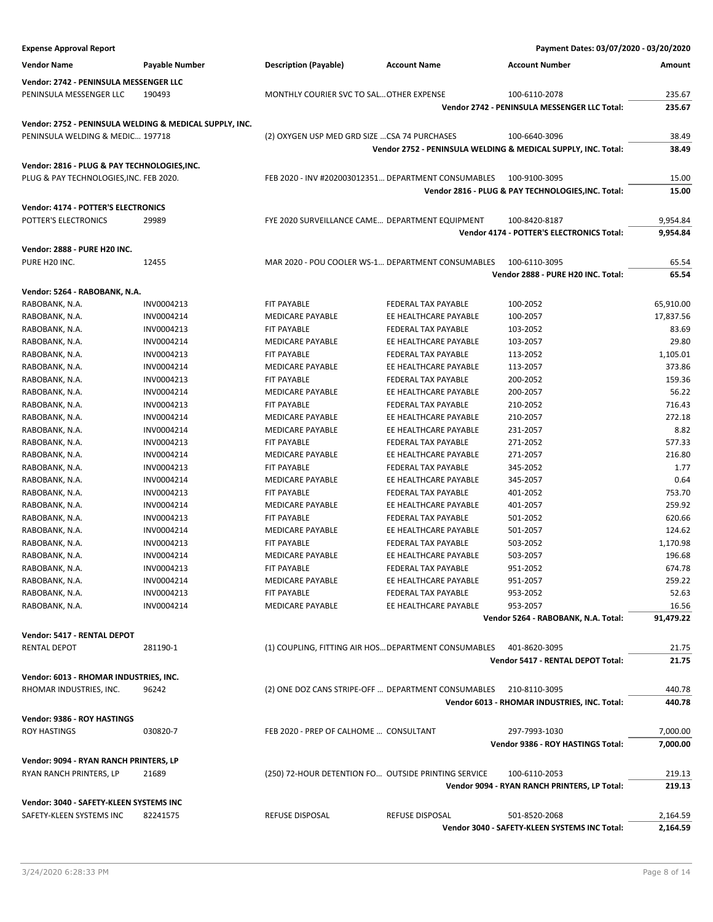| <b>Expense Approval Report</b>                          |                       |                                                      |                            | Payment Dates: 03/07/2020 - 03/20/2020                        |           |
|---------------------------------------------------------|-----------------------|------------------------------------------------------|----------------------------|---------------------------------------------------------------|-----------|
| <b>Vendor Name</b>                                      | <b>Payable Number</b> | <b>Description (Payable)</b>                         | <b>Account Name</b>        | <b>Account Number</b>                                         | Amount    |
|                                                         |                       |                                                      |                            |                                                               |           |
| Vendor: 2742 - PENINSULA MESSENGER LLC                  |                       |                                                      |                            |                                                               |           |
| PENINSULA MESSENGER LLC                                 | 190493                | MONTHLY COURIER SVC TO SAL OTHER EXPENSE             |                            | 100-6110-2078                                                 | 235.67    |
|                                                         |                       |                                                      |                            | Vendor 2742 - PENINSULA MESSENGER LLC Total:                  | 235.67    |
| Vendor: 2752 - PENINSULA WELDING & MEDICAL SUPPLY, INC. |                       |                                                      |                            |                                                               |           |
| PENINSULA WELDING & MEDIC 197718                        |                       | (2) OXYGEN USP MED GRD SIZE  CSA 74 PURCHASES        |                            | 100-6640-3096                                                 | 38.49     |
|                                                         |                       |                                                      |                            | Vendor 2752 - PENINSULA WELDING & MEDICAL SUPPLY, INC. Total: | 38.49     |
| Vendor: 2816 - PLUG & PAY TECHNOLOGIES, INC.            |                       |                                                      |                            |                                                               |           |
| PLUG & PAY TECHNOLOGIES, INC. FEB 2020.                 |                       | FEB 2020 - INV #202003012351 DEPARTMENT CONSUMABLES  |                            | 100-9100-3095                                                 | 15.00     |
|                                                         |                       |                                                      |                            | Vendor 2816 - PLUG & PAY TECHNOLOGIES, INC. Total:            | 15.00     |
|                                                         |                       |                                                      |                            |                                                               |           |
| Vendor: 4174 - POTTER'S ELECTRONICS                     |                       |                                                      |                            |                                                               |           |
| POTTER'S ELECTRONICS                                    | 29989                 | FYE 2020 SURVEILLANCE CAME DEPARTMENT EQUIPMENT      |                            | 100-8420-8187                                                 | 9,954.84  |
|                                                         |                       |                                                      |                            | Vendor 4174 - POTTER'S ELECTRONICS Total:                     | 9,954.84  |
| Vendor: 2888 - PURE H20 INC.                            |                       |                                                      |                            |                                                               |           |
| PURE H20 INC.                                           | 12455                 | MAR 2020 - POU COOLER WS-1 DEPARTMENT CONSUMABLES    |                            | 100-6110-3095                                                 | 65.54     |
|                                                         |                       |                                                      |                            | Vendor 2888 - PURE H20 INC. Total:                            | 65.54     |
| Vendor: 5264 - RABOBANK, N.A.                           |                       |                                                      |                            |                                                               |           |
|                                                         |                       |                                                      | <b>FEDERAL TAX PAYABLE</b> |                                                               |           |
| RABOBANK, N.A.                                          | INV0004213            | FIT PAYABLE                                          |                            | 100-2052                                                      | 65,910.00 |
| RABOBANK, N.A.                                          | INV0004214            | MEDICARE PAYABLE                                     | EE HEALTHCARE PAYABLE      | 100-2057                                                      | 17,837.56 |
| RABOBANK, N.A.                                          | INV0004213            | <b>FIT PAYABLE</b>                                   | FEDERAL TAX PAYABLE        | 103-2052                                                      | 83.69     |
| RABOBANK, N.A.                                          | INV0004214            | <b>MEDICARE PAYABLE</b>                              | EE HEALTHCARE PAYABLE      | 103-2057                                                      | 29.80     |
| RABOBANK, N.A.                                          | INV0004213            | <b>FIT PAYABLE</b>                                   | <b>FEDERAL TAX PAYABLE</b> | 113-2052<br>113-2057                                          | 1,105.01  |
| RABOBANK, N.A.                                          | INV0004214            | <b>MEDICARE PAYABLE</b>                              | EE HEALTHCARE PAYABLE      |                                                               | 373.86    |
| RABOBANK, N.A.                                          | INV0004213            | FIT PAYABLE                                          | FEDERAL TAX PAYABLE        | 200-2052                                                      | 159.36    |
| RABOBANK, N.A.                                          | INV0004214            | <b>MEDICARE PAYABLE</b>                              | EE HEALTHCARE PAYABLE      | 200-2057                                                      | 56.22     |
| RABOBANK, N.A.                                          | INV0004213            | <b>FIT PAYABLE</b>                                   | FEDERAL TAX PAYABLE        | 210-2052                                                      | 716.43    |
| RABOBANK, N.A.                                          | INV0004214            | <b>MEDICARE PAYABLE</b>                              | EE HEALTHCARE PAYABLE      | 210-2057                                                      | 272.18    |
| RABOBANK, N.A.                                          | INV0004214            | <b>MEDICARE PAYABLE</b>                              | EE HEALTHCARE PAYABLE      | 231-2057                                                      | 8.82      |
| RABOBANK, N.A.                                          | INV0004213            | FIT PAYABLE                                          | FEDERAL TAX PAYABLE        | 271-2052                                                      | 577.33    |
| RABOBANK, N.A.                                          | INV0004214            | MEDICARE PAYABLE                                     | EE HEALTHCARE PAYABLE      | 271-2057                                                      | 216.80    |
| RABOBANK, N.A.                                          | INV0004213            | <b>FIT PAYABLE</b>                                   | FEDERAL TAX PAYABLE        | 345-2052                                                      | 1.77      |
| RABOBANK, N.A.                                          | INV0004214            | <b>MEDICARE PAYABLE</b>                              | EE HEALTHCARE PAYABLE      | 345-2057                                                      | 0.64      |
| RABOBANK, N.A.                                          | INV0004213            | <b>FIT PAYABLE</b>                                   | <b>FEDERAL TAX PAYABLE</b> | 401-2052                                                      | 753.70    |
| RABOBANK, N.A.                                          | INV0004214            | MEDICARE PAYABLE                                     | EE HEALTHCARE PAYABLE      | 401-2057                                                      | 259.92    |
| RABOBANK, N.A.                                          | INV0004213            | <b>FIT PAYABLE</b>                                   | FEDERAL TAX PAYABLE        | 501-2052                                                      | 620.66    |
| RABOBANK, N.A.                                          | INV0004214            | <b>MEDICARE PAYABLE</b>                              | EE HEALTHCARE PAYABLE      | 501-2057                                                      | 124.62    |
| RABOBANK, N.A.                                          | INV0004213            | <b>FIT PAYABLE</b>                                   | FEDERAL TAX PAYABLE        | 503-2052                                                      | 1,170.98  |
| RABOBANK, N.A.                                          | INV0004214            | MEDICARE PAYABLE                                     | EE HEALTHCARE PAYABLE      | 503-2057                                                      | 196.68    |
| RABOBANK, N.A.                                          | INV0004213            | FIT PAYABLE                                          | FEDERAL TAX PAYABLE        | 951-2052                                                      | 674.78    |
| RABOBANK, N.A.                                          | INV0004214            | <b>MEDICARE PAYABLE</b>                              | EE HEALTHCARE PAYABLE      | 951-2057                                                      | 259.22    |
| RABOBANK, N.A.                                          | INV0004213            | <b>FIT PAYABLE</b>                                   | FEDERAL TAX PAYABLE        | 953-2052                                                      | 52.63     |
| RABOBANK, N.A.                                          | INV0004214            | MEDICARE PAYABLE                                     | EE HEALTHCARE PAYABLE      | 953-2057                                                      | 16.56     |
|                                                         |                       |                                                      |                            | Vendor 5264 - RABOBANK, N.A. Total:                           | 91,479.22 |
| Vendor: 5417 - RENTAL DEPOT                             |                       |                                                      |                            |                                                               |           |
| <b>RENTAL DEPOT</b>                                     | 281190-1              | (1) COUPLING, FITTING AIR HOS DEPARTMENT CONSUMABLES |                            | 401-8620-3095                                                 | 21.75     |
|                                                         |                       |                                                      |                            | Vendor 5417 - RENTAL DEPOT Total:                             | 21.75     |
| Vendor: 6013 - RHOMAR INDUSTRIES, INC.                  |                       |                                                      |                            |                                                               |           |
| RHOMAR INDUSTRIES, INC.                                 | 96242                 | (2) ONE DOZ CANS STRIPE-OFF  DEPARTMENT CONSUMABLES  |                            | 210-8110-3095                                                 | 440.78    |
|                                                         |                       |                                                      |                            | Vendor 6013 - RHOMAR INDUSTRIES, INC. Total:                  | 440.78    |
|                                                         |                       |                                                      |                            |                                                               |           |
| Vendor: 9386 - ROY HASTINGS                             |                       |                                                      |                            |                                                               |           |
| <b>ROY HASTINGS</b>                                     | 030820-7              | FEB 2020 - PREP OF CALHOME  CONSULTANT               |                            | 297-7993-1030                                                 | 7,000.00  |
|                                                         |                       |                                                      |                            | Vendor 9386 - ROY HASTINGS Total:                             | 7,000.00  |
| Vendor: 9094 - RYAN RANCH PRINTERS, LP                  |                       |                                                      |                            |                                                               |           |
| RYAN RANCH PRINTERS, LP                                 | 21689                 | (250) 72-HOUR DETENTION FO OUTSIDE PRINTING SERVICE  |                            | 100-6110-2053                                                 | 219.13    |
|                                                         |                       |                                                      |                            | Vendor 9094 - RYAN RANCH PRINTERS, LP Total:                  | 219.13    |
|                                                         |                       |                                                      |                            |                                                               |           |
| Vendor: 3040 - SAFETY-KLEEN SYSTEMS INC                 |                       |                                                      |                            |                                                               |           |
| SAFETY-KLEEN SYSTEMS INC                                | 82241575              | REFUSE DISPOSAL                                      | <b>REFUSE DISPOSAL</b>     | 501-8520-2068                                                 | 2,164.59  |
|                                                         |                       |                                                      |                            | Vendor 3040 - SAFETY-KLEEN SYSTEMS INC Total:                 | 2,164.59  |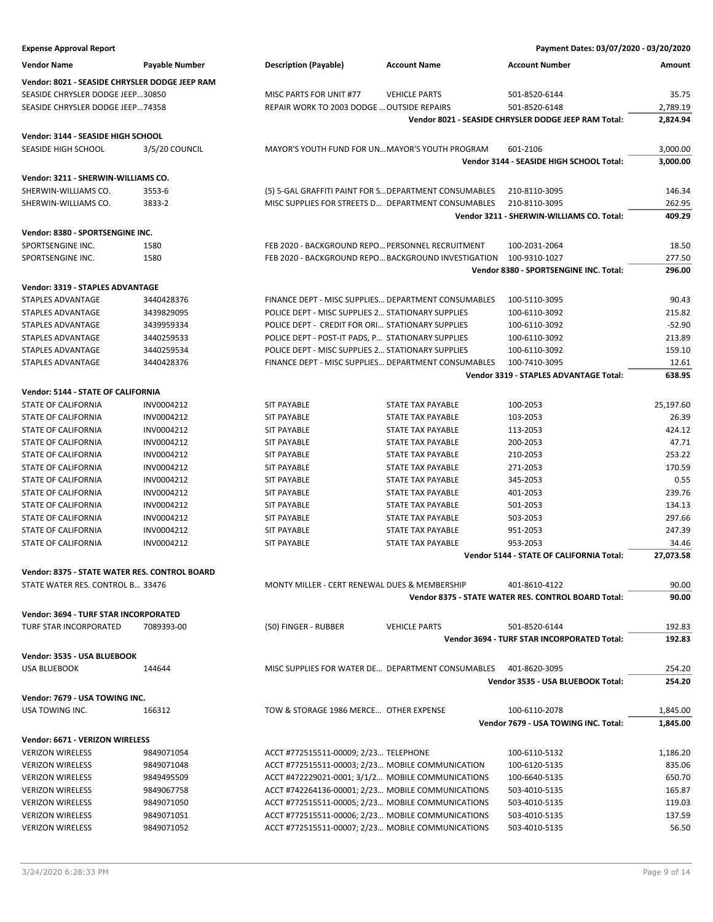| <b>Expense Approval Report</b>                 |                       |                                                       |                                                     | Payment Dates: 03/07/2020 - 03/20/2020                         |                 |
|------------------------------------------------|-----------------------|-------------------------------------------------------|-----------------------------------------------------|----------------------------------------------------------------|-----------------|
| <b>Vendor Name</b>                             | <b>Payable Number</b> | <b>Description (Payable)</b>                          | <b>Account Name</b>                                 | <b>Account Number</b>                                          | Amount          |
| Vendor: 8021 - SEASIDE CHRYSLER DODGE JEEP RAM |                       |                                                       |                                                     |                                                                |                 |
| SEASIDE CHRYSLER DODGE JEEP30850               |                       | MISC PARTS FOR UNIT #77                               | <b>VEHICLE PARTS</b>                                | 501-8520-6144                                                  | 35.75           |
| SEASIDE CHRYSLER DODGE JEEP74358               |                       | REPAIR WORK TO 2003 DODGE  OUTSIDE REPAIRS            |                                                     | 501-8520-6148                                                  | 2,789.19        |
|                                                |                       |                                                       |                                                     | Vendor 8021 - SEASIDE CHRYSLER DODGE JEEP RAM Total:           | 2,824.94        |
| Vendor: 3144 - SEASIDE HIGH SCHOOL             |                       |                                                       |                                                     |                                                                |                 |
| SEASIDE HIGH SCHOOL                            | 3/5/20 COUNCIL        | MAYOR'S YOUTH FUND FOR UN MAYOR'S YOUTH PROGRAM       |                                                     | 601-2106                                                       | 3,000.00        |
|                                                |                       |                                                       |                                                     | Vendor 3144 - SEASIDE HIGH SCHOOL Total:                       | 3,000.00        |
| Vendor: 3211 - SHERWIN-WILLIAMS CO.            |                       |                                                       |                                                     |                                                                |                 |
|                                                |                       |                                                       |                                                     |                                                                |                 |
| SHERWIN-WILLIAMS CO.                           | 3553-6                | (5) 5-GAL GRAFFITI PAINT FOR S DEPARTMENT CONSUMABLES |                                                     | 210-8110-3095                                                  | 146.34          |
| SHERWIN-WILLIAMS CO.                           | 3833-2                | MISC SUPPLIES FOR STREETS D DEPARTMENT CONSUMABLES    |                                                     | 210-8110-3095                                                  | 262.95          |
|                                                |                       |                                                       |                                                     | Vendor 3211 - SHERWIN-WILLIAMS CO. Total:                      | 409.29          |
| Vendor: 8380 - SPORTSENGINE INC.               |                       |                                                       |                                                     |                                                                |                 |
| SPORTSENGINE INC.                              | 1580                  | FEB 2020 - BACKGROUND REPO PERSONNEL RECRUITMENT      |                                                     | 100-2031-2064                                                  | 18.50           |
| SPORTSENGINE INC.                              | 1580                  |                                                       | FEB 2020 - BACKGROUND REPO BACKGROUND INVESTIGATION | 100-9310-1027                                                  | 277.50          |
|                                                |                       |                                                       |                                                     | Vendor 8380 - SPORTSENGINE INC. Total:                         | 296.00          |
| Vendor: 3319 - STAPLES ADVANTAGE               |                       |                                                       |                                                     |                                                                |                 |
| <b>STAPLES ADVANTAGE</b>                       | 3440428376            | FINANCE DEPT - MISC SUPPLIES DEPARTMENT CONSUMABLES   |                                                     | 100-5110-3095                                                  | 90.43           |
| STAPLES ADVANTAGE                              | 3439829095            | POLICE DEPT - MISC SUPPLIES 2 STATIONARY SUPPLIES     |                                                     | 100-6110-3092                                                  | 215.82          |
| STAPLES ADVANTAGE                              | 3439959334            | POLICE DEPT - CREDIT FOR ORI STATIONARY SUPPLIES      |                                                     | 100-6110-3092                                                  | $-52.90$        |
| STAPLES ADVANTAGE                              | 3440259533            | POLICE DEPT - POST-IT PADS, P STATIONARY SUPPLIES     |                                                     | 100-6110-3092                                                  | 213.89          |
|                                                | 3440259534            | POLICE DEPT - MISC SUPPLIES 2 STATIONARY SUPPLIES     |                                                     |                                                                | 159.10          |
| STAPLES ADVANTAGE                              |                       | FINANCE DEPT - MISC SUPPLIES DEPARTMENT CONSUMABLES   |                                                     | 100-6110-3092                                                  |                 |
| STAPLES ADVANTAGE                              | 3440428376            |                                                       |                                                     | 100-7410-3095<br><b>Vendor 3319 - STAPLES ADVANTAGE Total:</b> | 12.61<br>638.95 |
|                                                |                       |                                                       |                                                     |                                                                |                 |
| Vendor: 5144 - STATE OF CALIFORNIA             |                       |                                                       |                                                     |                                                                |                 |
| <b>STATE OF CALIFORNIA</b>                     | INV0004212            | <b>SIT PAYABLE</b>                                    | <b>STATE TAX PAYABLE</b>                            | 100-2053                                                       | 25,197.60       |
| STATE OF CALIFORNIA                            | INV0004212            | <b>SIT PAYABLE</b>                                    | STATE TAX PAYABLE                                   | 103-2053                                                       | 26.39           |
| STATE OF CALIFORNIA                            | INV0004212            | <b>SIT PAYABLE</b>                                    | STATE TAX PAYABLE                                   | 113-2053                                                       | 424.12          |
| <b>STATE OF CALIFORNIA</b>                     | INV0004212            | <b>SIT PAYABLE</b>                                    | <b>STATE TAX PAYABLE</b>                            | 200-2053                                                       | 47.71           |
| <b>STATE OF CALIFORNIA</b>                     | INV0004212            | <b>SIT PAYABLE</b>                                    | <b>STATE TAX PAYABLE</b>                            | 210-2053                                                       | 253.22          |
| STATE OF CALIFORNIA                            | INV0004212            | <b>SIT PAYABLE</b>                                    | STATE TAX PAYABLE                                   | 271-2053                                                       | 170.59          |
| STATE OF CALIFORNIA                            | INV0004212            | <b>SIT PAYABLE</b>                                    | STATE TAX PAYABLE                                   | 345-2053                                                       | 0.55            |
| STATE OF CALIFORNIA                            | INV0004212            | <b>SIT PAYABLE</b>                                    | <b>STATE TAX PAYABLE</b>                            | 401-2053                                                       | 239.76          |
| STATE OF CALIFORNIA                            | INV0004212            | <b>SIT PAYABLE</b>                                    | <b>STATE TAX PAYABLE</b>                            | 501-2053                                                       | 134.13          |
| <b>STATE OF CALIFORNIA</b>                     | INV0004212            | <b>SIT PAYABLE</b>                                    | <b>STATE TAX PAYABLE</b>                            | 503-2053                                                       | 297.66          |
| <b>STATE OF CALIFORNIA</b>                     | INV0004212            | <b>SIT PAYABLE</b>                                    | <b>STATE TAX PAYABLE</b>                            | 951-2053                                                       | 247.39          |
| STATE OF CALIFORNIA                            | INV0004212            | <b>SIT PAYABLE</b>                                    | STATE TAX PAYABLE                                   | 953-2053                                                       | 34.46           |
|                                                |                       |                                                       |                                                     | Vendor 5144 - STATE OF CALIFORNIA Total:                       | 27,073.58       |
|                                                |                       |                                                       |                                                     |                                                                |                 |
| Vendor: 8375 - STATE WATER RES. CONTROL BOARD  |                       |                                                       |                                                     |                                                                |                 |
| STATE WATER RES. CONTROL B 33476               |                       | MONTY MILLER - CERT RENEWAL DUES & MEMBERSHIP         |                                                     | 401-8610-4122                                                  | 90.00           |
|                                                |                       |                                                       |                                                     | Vendor 8375 - STATE WATER RES. CONTROL BOARD Total:            | 90.00           |
| <b>Vendor: 3694 - TURF STAR INCORPORATED</b>   |                       |                                                       |                                                     |                                                                |                 |
| TURF STAR INCORPORATED                         | 7089393-00            | (50) FINGER - RUBBER                                  | <b>VEHICLE PARTS</b>                                | 501-8520-6144                                                  | 192.83          |
|                                                |                       |                                                       |                                                     | Vendor 3694 - TURF STAR INCORPORATED Total:                    | 192.83          |
| Vendor: 3535 - USA BLUEBOOK                    |                       |                                                       |                                                     |                                                                |                 |
| <b>USA BLUEBOOK</b>                            | 144644                | MISC SUPPLIES FOR WATER DE DEPARTMENT CONSUMABLES     |                                                     | 401-8620-3095                                                  | 254.20          |
|                                                |                       |                                                       |                                                     |                                                                |                 |
|                                                |                       |                                                       |                                                     | Vendor 3535 - USA BLUEBOOK Total:                              | 254.20          |
| Vendor: 7679 - USA TOWING INC.                 |                       |                                                       |                                                     |                                                                |                 |
| USA TOWING INC.                                | 166312                | TOW & STORAGE 1986 MERCE OTHER EXPENSE                |                                                     | 100-6110-2078                                                  | 1,845.00        |
|                                                |                       |                                                       |                                                     | Vendor 7679 - USA TOWING INC. Total:                           | 1,845.00        |
| Vendor: 6671 - VERIZON WIRELESS                |                       |                                                       |                                                     |                                                                |                 |
| <b>VERIZON WIRELESS</b>                        | 9849071054            | ACCT #772515511-00009; 2/23 TELEPHONE                 |                                                     | 100-6110-5132                                                  | 1,186.20        |
| <b>VERIZON WIRELESS</b>                        | 9849071048            | ACCT #772515511-00003; 2/23 MOBILE COMMUNICATION      |                                                     | 100-6120-5135                                                  | 835.06          |
| <b>VERIZON WIRELESS</b>                        | 9849495509            | ACCT #472229021-0001; 3/1/2 MOBILE COMMUNICATIONS     |                                                     | 100-6640-5135                                                  | 650.70          |
| <b>VERIZON WIRELESS</b>                        | 9849067758            | ACCT #742264136-00001; 2/23 MOBILE COMMUNICATIONS     |                                                     | 503-4010-5135                                                  | 165.87          |
| <b>VERIZON WIRELESS</b>                        | 9849071050            | ACCT #772515511-00005; 2/23 MOBILE COMMUNICATIONS     |                                                     | 503-4010-5135                                                  | 119.03          |
| <b>VERIZON WIRELESS</b>                        | 9849071051            | ACCT #772515511-00006; 2/23 MOBILE COMMUNICATIONS     |                                                     | 503-4010-5135                                                  | 137.59          |
|                                                |                       |                                                       |                                                     |                                                                |                 |

VERIZON WIRELESS 6849071052 66.50 ACCT #772515511-00007; 2/23... MOBILE COMMUNICATIONS 503-4010-5135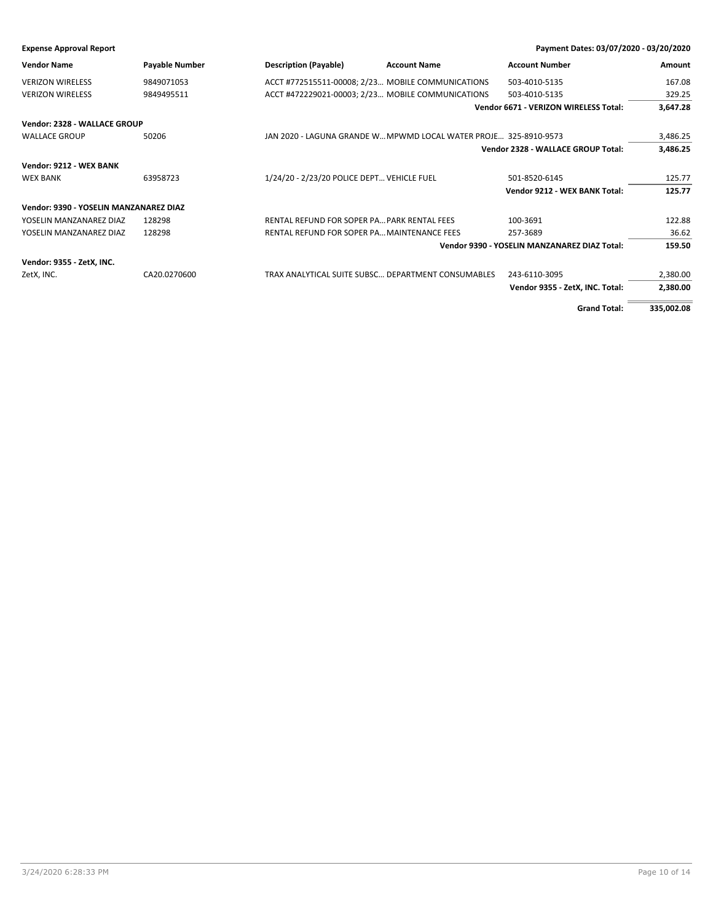**Expense Approval Report Payment Dates: 03/07/2020 - 03/20/2020**

| <b>Vendor Name</b>                     | <b>Payable Number</b> | <b>Description (Payable)</b>                       | <b>Account Name</b>                                              | <b>Account Number</b>                        | <b>Amount</b> |
|----------------------------------------|-----------------------|----------------------------------------------------|------------------------------------------------------------------|----------------------------------------------|---------------|
| <b>VERIZON WIRELESS</b>                | 9849071053            | ACCT #772515511-00008; 2/23 MOBILE COMMUNICATIONS  |                                                                  | 503-4010-5135                                | 167.08        |
| <b>VERIZON WIRELESS</b>                | 9849495511            | ACCT #472229021-00003; 2/23 MOBILE COMMUNICATIONS  |                                                                  | 503-4010-5135                                | 329.25        |
|                                        |                       |                                                    |                                                                  | Vendor 6671 - VERIZON WIRELESS Total:        | 3,647.28      |
| Vendor: 2328 - WALLACE GROUP           |                       |                                                    |                                                                  |                                              |               |
| <b>WALLACE GROUP</b>                   | 50206                 |                                                    | JAN 2020 - LAGUNA GRANDE W MPWMD LOCAL WATER PROJE 325-8910-9573 |                                              | 3,486.25      |
|                                        |                       |                                                    |                                                                  | Vendor 2328 - WALLACE GROUP Total:           | 3,486.25      |
| Vendor: 9212 - WEX BANK                |                       |                                                    |                                                                  |                                              |               |
| <b>WEX BANK</b>                        | 63958723              | 1/24/20 - 2/23/20 POLICE DEPT VEHICLE FUEL         |                                                                  | 501-8520-6145                                | 125.77        |
|                                        |                       |                                                    |                                                                  | Vendor 9212 - WEX BANK Total:                | 125.77        |
| Vendor: 9390 - YOSELIN MANZANAREZ DIAZ |                       |                                                    |                                                                  |                                              |               |
| YOSELIN MANZANAREZ DIAZ                | 128298                | RENTAL REFUND FOR SOPER PA PARK RENTAL FEES        |                                                                  | 100-3691                                     | 122.88        |
| YOSELIN MANZANAREZ DIAZ                | 128298                | RENTAL REFUND FOR SOPER PA MAINTENANCE FEES        |                                                                  | 257-3689                                     | 36.62         |
|                                        |                       |                                                    |                                                                  | Vendor 9390 - YOSELIN MANZANAREZ DIAZ Total: | 159.50        |
| Vendor: 9355 - ZetX, INC.              |                       |                                                    |                                                                  |                                              |               |
| ZetX, INC.                             | CA20.0270600          | TRAX ANALYTICAL SUITE SUBSC DEPARTMENT CONSUMABLES |                                                                  | 243-6110-3095                                | 2,380.00      |
|                                        |                       |                                                    |                                                                  | Vendor 9355 - ZetX, INC. Total:              | 2,380.00      |
|                                        |                       |                                                    |                                                                  |                                              |               |

**Grand Total: 335,002.08**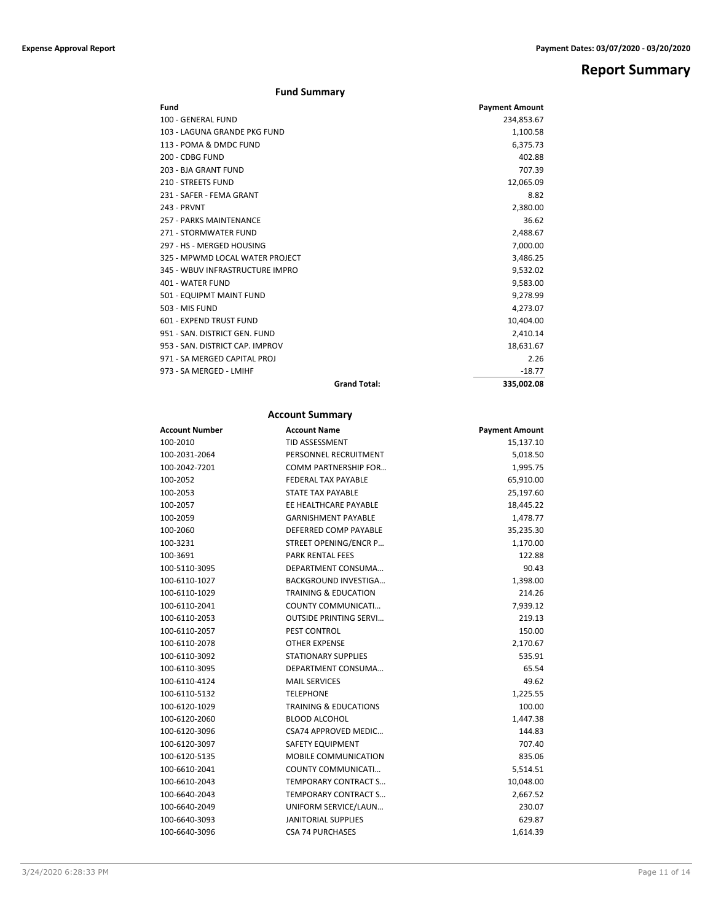# **Report Summary**

# **Fund Summary**

| Fund                            | <b>Payment Amount</b> |
|---------------------------------|-----------------------|
| 100 - GENERAL FUND              | 234,853.67            |
| 103 - LAGUNA GRANDE PKG FUND    | 1,100.58              |
| 113 - POMA & DMDC FUND          | 6,375.73              |
| 200 - CDBG FUND                 | 402.88                |
| 203 - BJA GRANT FUND            | 707.39                |
| <b>210 - STREETS FUND</b>       | 12,065.09             |
| 231 - SAFER - FEMA GRANT        | 8.82                  |
| 243 - PRVNT                     | 2,380.00              |
| 257 - PARKS MAINTENANCE         | 36.62                 |
| 271 - STORMWATER FUND           | 2,488.67              |
| 297 - HS - MERGED HOUSING       | 7,000.00              |
| 325 - MPWMD LOCAL WATER PROJECT | 3,486.25              |
| 345 - WBUV INFRASTRUCTURE IMPRO | 9,532.02              |
| 401 - WATER FUND                | 9,583.00              |
| 501 - EQUIPMT MAINT FUND        | 9,278.99              |
| 503 - MIS FUND                  | 4,273.07              |
| 601 - EXPEND TRUST FUND         | 10,404.00             |
| 951 - SAN, DISTRICT GEN, FUND   | 2,410.14              |
| 953 - SAN, DISTRICT CAP, IMPROV | 18,631.67             |
| 971 - SA MERGED CAPITAL PROJ    | 2.26                  |
| 973 - SA MERGED - LMIHF         | $-18.77$              |
| <b>Grand Total:</b>             | 335,002.08            |

# **Account Summary**

| <b>Account Number</b> | <b>Account Name</b>              | <b>Payment Amount</b> |
|-----------------------|----------------------------------|-----------------------|
| 100-2010              | <b>TID ASSESSMENT</b>            | 15,137.10             |
| 100-2031-2064         | PERSONNEL RECRUITMENT            | 5,018.50              |
| 100-2042-7201         | <b>COMM PARTNERSHIP FOR</b>      | 1,995.75              |
| 100-2052              | <b>FEDERAL TAX PAYABLE</b>       | 65,910.00             |
| 100-2053              | STATE TAX PAYABLE                | 25,197.60             |
| 100-2057              | EE HEALTHCARE PAYABLE            | 18,445.22             |
| 100-2059              | <b>GARNISHMENT PAYABLE</b>       | 1,478.77              |
| 100-2060              | DEFERRED COMP PAYABLE            | 35,235.30             |
| 100-3231              | STREET OPENING/ENCR P            | 1,170.00              |
| 100-3691              | <b>PARK RENTAL FEES</b>          | 122.88                |
| 100-5110-3095         | DEPARTMENT CONSUMA               | 90.43                 |
| 100-6110-1027         | <b>BACKGROUND INVESTIGA</b>      | 1,398.00              |
| 100-6110-1029         | <b>TRAINING &amp; EDUCATION</b>  | 214.26                |
| 100-6110-2041         | COUNTY COMMUNICATI               | 7,939.12              |
| 100-6110-2053         | <b>OUTSIDE PRINTING SERVI</b>    | 219.13                |
| 100-6110-2057         | PEST CONTROL                     | 150.00                |
| 100-6110-2078         | <b>OTHER EXPENSE</b>             | 2,170.67              |
| 100-6110-3092         | <b>STATIONARY SUPPLIES</b>       | 535.91                |
| 100-6110-3095         | DEPARTMENT CONSUMA               | 65.54                 |
| 100-6110-4124         | <b>MAIL SERVICES</b>             | 49.62                 |
| 100-6110-5132         | <b>TELEPHONE</b>                 | 1,225.55              |
| 100-6120-1029         | <b>TRAINING &amp; EDUCATIONS</b> | 100.00                |
| 100-6120-2060         | <b>BLOOD ALCOHOL</b>             | 1,447.38              |
| 100-6120-3096         | <b>CSA74 APPROVED MEDIC</b>      | 144.83                |
| 100-6120-3097         | <b>SAFETY EQUIPMENT</b>          | 707.40                |
| 100-6120-5135         | MOBILE COMMUNICATION             | 835.06                |
| 100-6610-2041         | COUNTY COMMUNICATI               | 5,514.51              |
| 100-6610-2043         | TEMPORARY CONTRACT S             | 10,048.00             |
| 100-6640-2043         | TEMPORARY CONTRACT S             | 2,667.52              |
| 100-6640-2049         | UNIFORM SERVICE/LAUN             | 230.07                |
| 100-6640-3093         | <b>JANITORIAL SUPPLIES</b>       | 629.87                |
| 100-6640-3096         | <b>CSA 74 PURCHASES</b>          | 1,614.39              |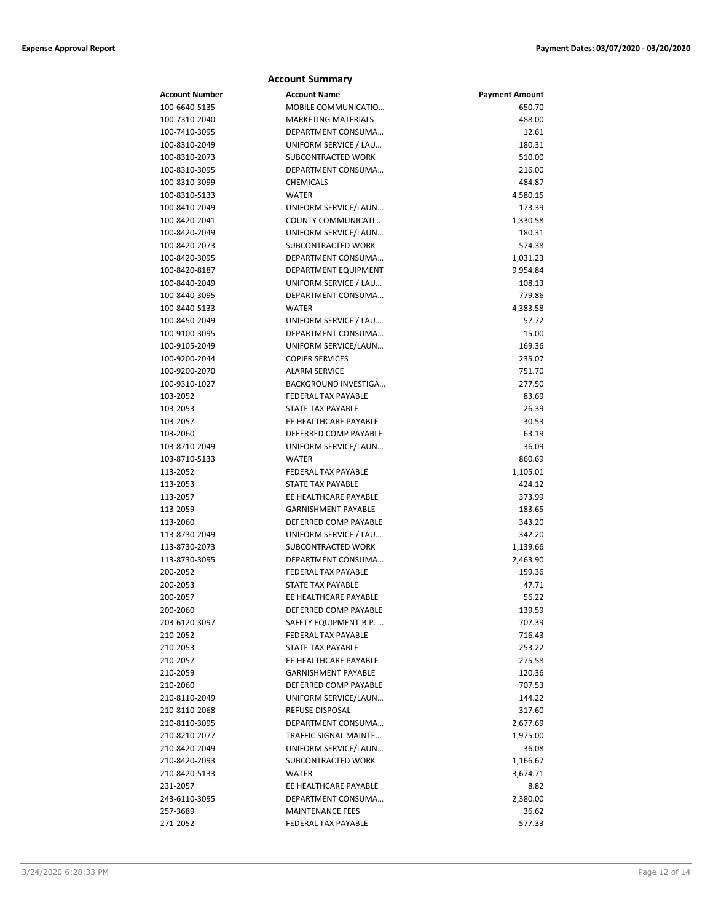|                | <b>Account Summary</b>       |                       |
|----------------|------------------------------|-----------------------|
| Account Number | <b>Account Name</b>          | <b>Payment Amount</b> |
| 100-6640-5135  | MOBILE COMMUNICATIO          | 650.70                |
| 100-7310-2040  | <b>MARKETING MATERIALS</b>   | 488.00                |
| 100-7410-3095  | DEPARTMENT CONSUMA           | 12.61                 |
| 100-8310-2049  | UNIFORM SERVICE / LAU        | 180.31                |
| 100-8310-2073  | SUBCONTRACTED WORK           | 510.00                |
| 100-8310-3095  | DEPARTMENT CONSUMA           | 216.00                |
| 100-8310-3099  | <b>CHEMICALS</b>             | 484.87                |
| 100-8310-5133  | <b>WATER</b>                 | 4,580.15              |
| 100-8410-2049  | UNIFORM SERVICE/LAUN         | 173.39                |
| 100-8420-2041  | COUNTY COMMUNICATI           | 1,330.58              |
| 100-8420-2049  | UNIFORM SERVICE/LAUN         | 180.31                |
| 100-8420-2073  | SUBCONTRACTED WORK           | 574.38                |
| 100-8420-3095  | DEPARTMENT CONSUMA           | 1,031.23              |
| 100-8420-8187  | DEPARTMENT EQUIPMENT         | 9,954.84              |
| 100-8440-2049  | UNIFORM SERVICE / LAU        | 108.13                |
| 100-8440-3095  | DEPARTMENT CONSUMA           | 779.86                |
| 100-8440-5133  | <b>WATER</b>                 | 4,383.58              |
| 100-8450-2049  | UNIFORM SERVICE / LAU        | 57.72                 |
| 100-9100-3095  | DEPARTMENT CONSUMA           | 15.00                 |
| 100-9105-2049  | UNIFORM SERVICE/LAUN         | 169.36                |
| 100-9200-2044  | <b>COPIER SERVICES</b>       | 235.07                |
| 100-9200-2070  | <b>ALARM SERVICE</b>         | 751.70                |
| 100-9310-1027  | BACKGROUND INVESTIGA         | 277.50                |
| 103-2052       | <b>FEDERAL TAX PAYABLE</b>   | 83.69                 |
| 103-2053       | STATE TAX PAYABLE            | 26.39                 |
| 103-2057       | EE HEALTHCARE PAYABLE        | 30.53                 |
| 103-2060       | DEFERRED COMP PAYABLE        | 63.19                 |
| 103-8710-2049  | UNIFORM SERVICE/LAUN         | 36.09                 |
| 103-8710-5133  | <b>WATER</b>                 | 860.69                |
| 113-2052       | FEDERAL TAX PAYABLE          | 1,105.01              |
| 113-2053       | STATE TAX PAYABLE            | 424.12                |
| 113-2057       | EE HEALTHCARE PAYABLE        | 373.99                |
| 113-2059       | <b>GARNISHMENT PAYABLE</b>   | 183.65                |
| 113-2060       | DEFERRED COMP PAYABLE        | 343.20                |
| 113-8730-2049  | UNIFORM SERVICE / LAU        | 342.20                |
| 113-8730-2073  | SUBCONTRACTED WORK           | 1,139.66              |
| 113-8730-3095  | DEPARTMENT CONSUMA           | 2,463.90              |
| 200-2052       | <b>FEDERAL TAX PAYABLE</b>   | 159.36                |
| 200-2053       | <b>STATE TAX PAYABLE</b>     | 47.71                 |
| 200-2057       | EE HEALTHCARE PAYABLE        | 56.22                 |
| 200-2060       | DEFERRED COMP PAYABLE        | 139.59                |
| 203-6120-3097  | SAFETY EQUIPMENT-B.P.        | 707.39                |
| 210-2052       | FEDERAL TAX PAYABLE          | 716.43                |
| 210-2053       | STATE TAX PAYABLE            | 253.22                |
| 210-2057       | EE HEALTHCARE PAYABLE        | 275.58                |
| 210-2059       | <b>GARNISHMENT PAYABLE</b>   | 120.36                |
| 210-2060       | DEFERRED COMP PAYABLE        | 707.53                |
| 210-8110-2049  | UNIFORM SERVICE/LAUN         | 144.22                |
| 210-8110-2068  | <b>REFUSE DISPOSAL</b>       | 317.60                |
| 210-8110-3095  | DEPARTMENT CONSUMA           | 2,677.69              |
| 210-8210-2077  | <b>TRAFFIC SIGNAL MAINTE</b> | 1,975.00              |
| 210-8420-2049  | UNIFORM SERVICE/LAUN         | 36.08                 |
| 210-8420-2093  | SUBCONTRACTED WORK           | 1,166.67              |
| 210-8420-5133  | <b>WATER</b>                 | 3,674.71              |
| 231-2057       | EE HEALTHCARE PAYABLE        | 8.82                  |
| 243-6110-3095  | DEPARTMENT CONSUMA           | 2,380.00              |
| 257-3689       | <b>MAINTENANCE FEES</b>      | 36.62                 |
| 271-2052       | FEDERAL TAX PAYABLE          | 577.33                |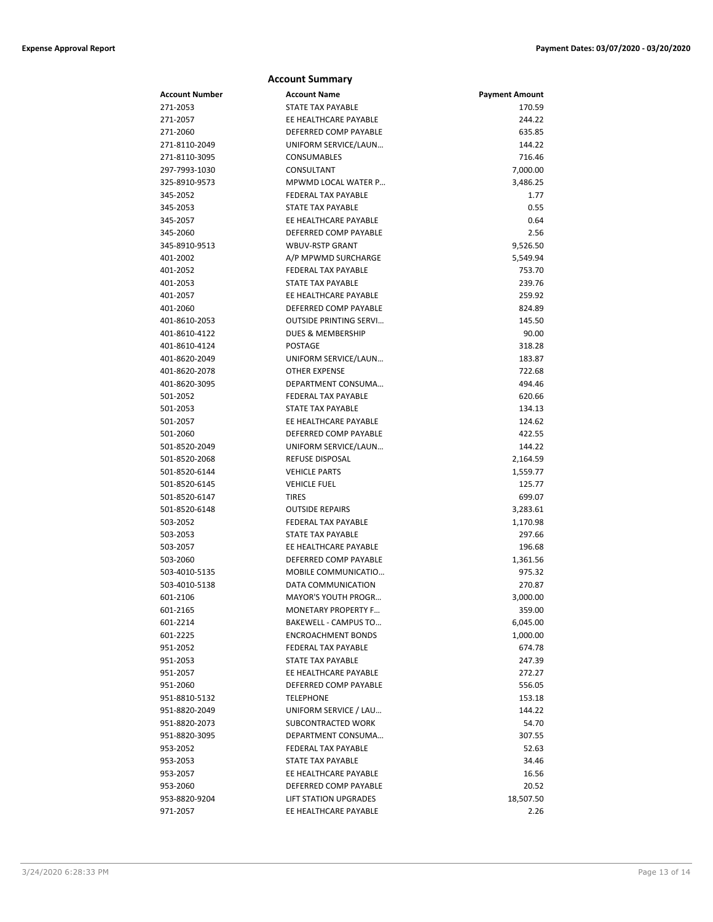|                                | <b>Account Summary</b>        |                       |
|--------------------------------|-------------------------------|-----------------------|
| Account Number                 | <b>Account Name</b>           | <b>Payment Amount</b> |
| 271-2053                       | <b>STATE TAX PAYABLE</b>      | 170.59                |
| 271-2057                       | EE HEALTHCARE PAYABLE         | 244.22                |
| 271-2060                       | DEFERRED COMP PAYABLE         | 635.85                |
| 271-8110-2049                  | UNIFORM SERVICE/LAUN          | 144.22                |
| 271-8110-3095                  | <b>CONSUMABLES</b>            | 716.46                |
| 297-7993-1030                  | CONSULTANT                    | 7,000.00              |
| 325-8910-9573                  | MPWMD LOCAL WATER P           | 3,486.25              |
| 345-2052                       | FEDERAL TAX PAYABLE           | 1.77                  |
| 345-2053                       | STATE TAX PAYABLE             | 0.55                  |
| 345-2057                       | EE HEALTHCARE PAYABLE         | 0.64                  |
| 345-2060                       | DEFERRED COMP PAYABLE         | 2.56                  |
| 345-8910-9513                  | <b>WBUV-RSTP GRANT</b>        | 9,526.50              |
| 401-2002                       | A/P MPWMD SURCHARGE           | 5,549.94              |
| 401-2052                       | FEDERAL TAX PAYABLE           | 753.70                |
| 401-2053                       | <b>STATE TAX PAYABLE</b>      | 239.76                |
| 401-2057                       | EE HEALTHCARE PAYABLE         | 259.92                |
| 401-2060                       | DEFERRED COMP PAYABLE         | 824.89                |
| 401-8610-2053                  | <b>OUTSIDE PRINTING SERVI</b> | 145.50                |
| 401-8610-4122                  | <b>DUES &amp; MEMBERSHIP</b>  | 90.00                 |
| 401-8610-4124                  | POSTAGE                       | 318.28                |
| 401-8620-2049                  | UNIFORM SERVICE/LAUN          | 183.87                |
| 401-8620-2078                  | <b>OTHER EXPENSE</b>          | 722.68                |
| 401-8620-3095                  | DEPARTMENT CONSUMA            | 494.46                |
| 501-2052                       | FEDERAL TAX PAYABLE           | 620.66                |
| 501-2053                       | <b>STATE TAX PAYABLE</b>      | 134.13                |
| 501-2057                       | EE HEALTHCARE PAYABLE         | 124.62                |
| 501-2060                       | DEFERRED COMP PAYABLE         | 422.55                |
| 501-8520-2049                  | UNIFORM SERVICE/LAUN          | 144.22                |
| 501-8520-2068                  | <b>REFUSE DISPOSAL</b>        | 2,164.59              |
| 501-8520-6144                  | <b>VEHICLE PARTS</b>          | 1,559.77              |
| 501-8520-6145                  | <b>VEHICLE FUEL</b>           | 125.77                |
| 501-8520-6147                  | <b>TIRES</b>                  | 699.07                |
| 501-8520-6148                  | <b>OUTSIDE REPAIRS</b>        | 3,283.61              |
| 503-2052                       | FEDERAL TAX PAYABLE           | 1,170.98              |
| 503-2053                       | STATE TAX PAYABLE             | 297.66                |
| 503-2057                       | EE HEALTHCARE PAYABLE         | 196.68                |
| 503-2060                       | DEFERRED COMP PAYABLE         | 1,361.56              |
|                                | MOBILE COMMUNICATIO           | 975.32                |
| 503-4010-5135<br>503-4010-5138 | DATA COMMUNICATION            | 270.87                |
| 601-2106                       | MAYOR'S YOUTH PROGR           |                       |
|                                |                               | 3,000.00              |
| 601-2165                       | <b>MONETARY PROPERTY F</b>    | 359.00                |
| 601-2214                       | BAKEWELL - CAMPUS TO          | 6,045.00              |
| 601-2225                       | <b>ENCROACHMENT BONDS</b>     | 1,000.00              |
| 951-2052                       | FEDERAL TAX PAYABLE           | 674.78                |
| 951-2053                       | STATE TAX PAYABLE             | 247.39                |
| 951-2057                       | EE HEALTHCARE PAYABLE         | 272.27                |
| 951-2060                       | DEFERRED COMP PAYABLE         | 556.05                |
| 951-8810-5132                  | <b>TELEPHONE</b>              | 153.18                |
| 951-8820-2049                  | UNIFORM SERVICE / LAU         | 144.22                |
| 951-8820-2073                  | SUBCONTRACTED WORK            | 54.70                 |
| 951-8820-3095                  | DEPARTMENT CONSUMA            | 307.55                |
| 953-2052                       | FEDERAL TAX PAYABLE           | 52.63                 |
| 953-2053                       | STATE TAX PAYABLE             | 34.46                 |
| 953-2057                       | EE HEALTHCARE PAYABLE         | 16.56                 |
| 953-2060                       | DEFERRED COMP PAYABLE         | 20.52                 |
| 953-8820-9204                  | <b>LIFT STATION UPGRADES</b>  | 18,507.50             |
| 971-2057                       | EE HEALTHCARE PAYABLE         | 2.26                  |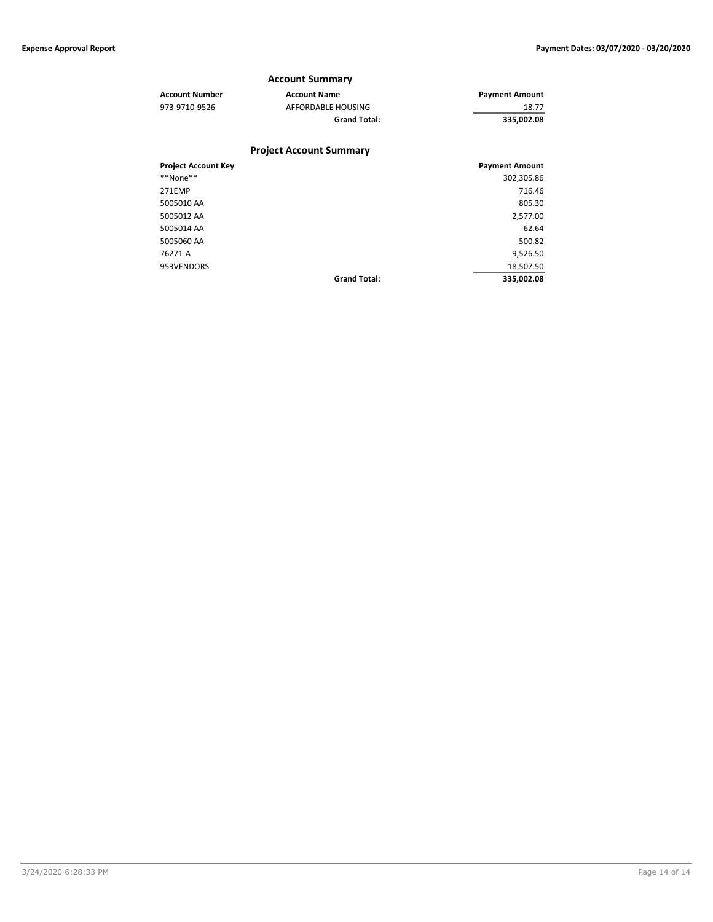### **Account Summary**

| <b>Account Number</b>      | <b>Account Name</b>            | <b>Payment Amount</b> |
|----------------------------|--------------------------------|-----------------------|
| 973-9710-9526              | AFFORDABLE HOUSING             | $-18.77$              |
|                            | <b>Grand Total:</b>            | 335,002.08            |
|                            | <b>Project Account Summary</b> |                       |
| <b>Project Account Key</b> |                                | <b>Payment Amount</b> |

| <b>Project Account Key</b> |                     | <b>Payment Amount</b> |
|----------------------------|---------------------|-----------------------|
| **None**                   |                     | 302,305.86            |
| 271EMP                     |                     | 716.46                |
| 5005010 AA                 |                     | 805.30                |
| 5005012 AA                 |                     | 2,577.00              |
| 5005014 AA                 |                     | 62.64                 |
| 5005060 AA                 |                     | 500.82                |
| 76271-A                    |                     | 9,526.50              |
| 953VENDORS                 |                     | 18,507.50             |
|                            | <b>Grand Total:</b> | 335,002.08            |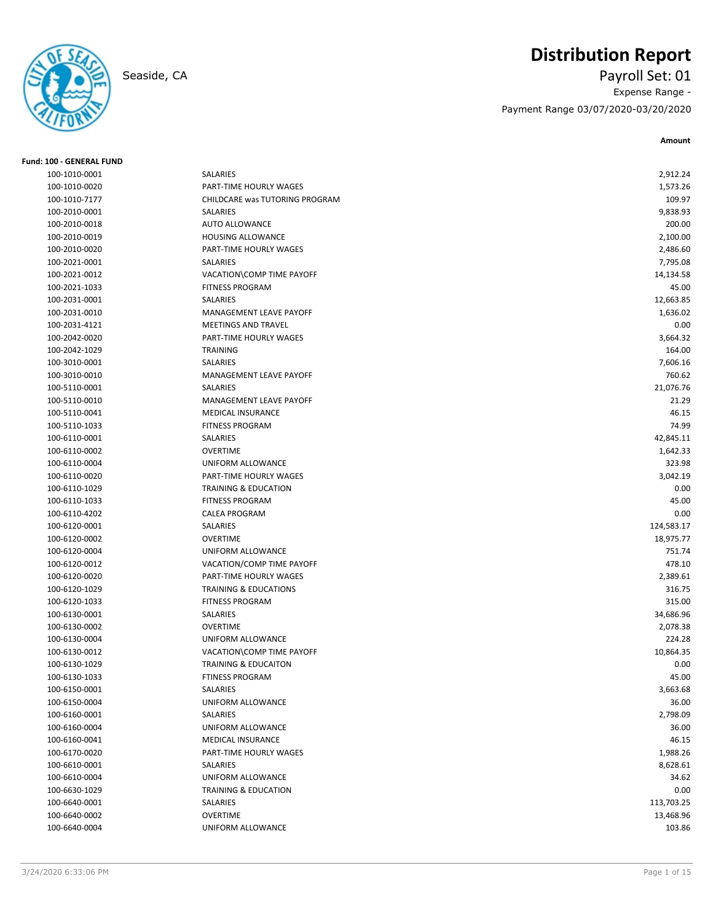**Fund: 100 - GENERAL FUND**

# **Distribution Report**

Seaside, CA Payroll Set: 01 Expense Range - Payment Range 03/07/2020-03/20/2020

| 100-1010-0001                  | SALARIES                         | 2,912.24   |
|--------------------------------|----------------------------------|------------|
| 100-1010-0020                  | PART-TIME HOURLY WAGES           | 1,573.26   |
| 100-1010-7177                  | CHILDCARE was TUTORING PROGRAM   | 109.97     |
| 100-2010-0001                  | SALARIES                         | 9,838.93   |
| 100-2010-0018                  | <b>AUTO ALLOWANCE</b>            | 200.00     |
| 100-2010-0019                  | <b>HOUSING ALLOWANCE</b>         | 2,100.00   |
| 100-2010-0020                  | PART-TIME HOURLY WAGES           | 2,486.60   |
| 100-2021-0001                  | SALARIES                         | 7,795.08   |
| 100-2021-0012                  | VACATION\COMP TIME PAYOFF        | 14,134.58  |
| 100-2021-1033                  | <b>FITNESS PROGRAM</b>           | 45.00      |
| 100-2031-0001                  | SALARIES                         | 12,663.85  |
| 100-2031-0010                  | MANAGEMENT LEAVE PAYOFF          | 1,636.02   |
| 100-2031-4121                  | <b>MEETINGS AND TRAVEL</b>       | 0.00       |
| 100-2042-0020                  | PART-TIME HOURLY WAGES           | 3,664.32   |
| 100-2042-1029                  | <b>TRAINING</b>                  | 164.00     |
| 100-3010-0001                  | SALARIES                         | 7,606.16   |
| 100-3010-0010                  | MANAGEMENT LEAVE PAYOFF          | 760.62     |
| 100-5110-0001                  | SALARIES                         | 21,076.76  |
| 100-5110-0010                  | MANAGEMENT LEAVE PAYOFF          | 21.29      |
| 100-5110-0041                  | <b>MEDICAL INSURANCE</b>         | 46.15      |
| 100-5110-1033                  | <b>FITNESS PROGRAM</b>           | 74.99      |
| 100-6110-0001                  | SALARIES                         | 42,845.11  |
| 100-6110-0002                  | <b>OVERTIME</b>                  | 1,642.33   |
| 100-6110-0004                  | UNIFORM ALLOWANCE                | 323.98     |
| 100-6110-0020                  | PART-TIME HOURLY WAGES           | 3,042.19   |
| 100-6110-1029                  | <b>TRAINING &amp; EDUCATION</b>  | 0.00       |
| 100-6110-1033                  | <b>FITNESS PROGRAM</b>           | 45.00      |
| 100-6110-4202                  | <b>CALEA PROGRAM</b>             | 0.00       |
| 100-6120-0001                  | SALARIES                         | 124,583.17 |
| 100-6120-0002                  | <b>OVERTIME</b>                  | 18,975.77  |
| 100-6120-0004                  | UNIFORM ALLOWANCE                | 751.74     |
| 100-6120-0012                  | VACATION/COMP TIME PAYOFF        | 478.10     |
| 100-6120-0020                  | PART-TIME HOURLY WAGES           | 2,389.61   |
| 100-6120-1029                  | <b>TRAINING &amp; EDUCATIONS</b> | 316.75     |
| 100-6120-1033                  | <b>FITNESS PROGRAM</b>           | 315.00     |
| 100-6130-0001                  | SALARIES                         | 34,686.96  |
| 100-6130-0002                  | <b>OVERTIME</b>                  | 2,078.38   |
| 100-6130-0004                  | UNIFORM ALLOWANCE                | 224.28     |
| 100-6130-0012                  | VACATION\COMP TIME PAYOFF        | 10,864.35  |
| 100-6130-1029                  | TRAINING & EDUCAITON             | 0.00       |
| 100-6130-1033                  | <b>FTINESS PROGRAM</b>           | 45.00      |
| 100-6150-0001                  | SALARIES                         | 3,663.68   |
| 100-6150-0004                  | UNIFORM ALLOWANCE                | 36.00      |
| 100-6160-0001                  | SALARIES                         | 2,798.09   |
| 100-6160-0004                  | UNIFORM ALLOWANCE                | 36.00      |
| 100-6160-0041                  | MEDICAL INSURANCE                | 46.15      |
| 100-6170-0020                  | PART-TIME HOURLY WAGES           | 1,988.26   |
| 100-6610-0001                  | SALARIES                         | 8,628.61   |
| 100-6610-0004                  | UNIFORM ALLOWANCE                | 34.62      |
|                                | <b>TRAINING &amp; EDUCATION</b>  | 0.00       |
| 100-6630-1029                  |                                  | 113,703.25 |
| 100-6640-0001<br>100-6640-0002 | SALARIES<br><b>OVERTIME</b>      | 13,468.96  |
|                                |                                  |            |
| 100-6640-0004                  | UNIFORM ALLOWANCE                | 103.86     |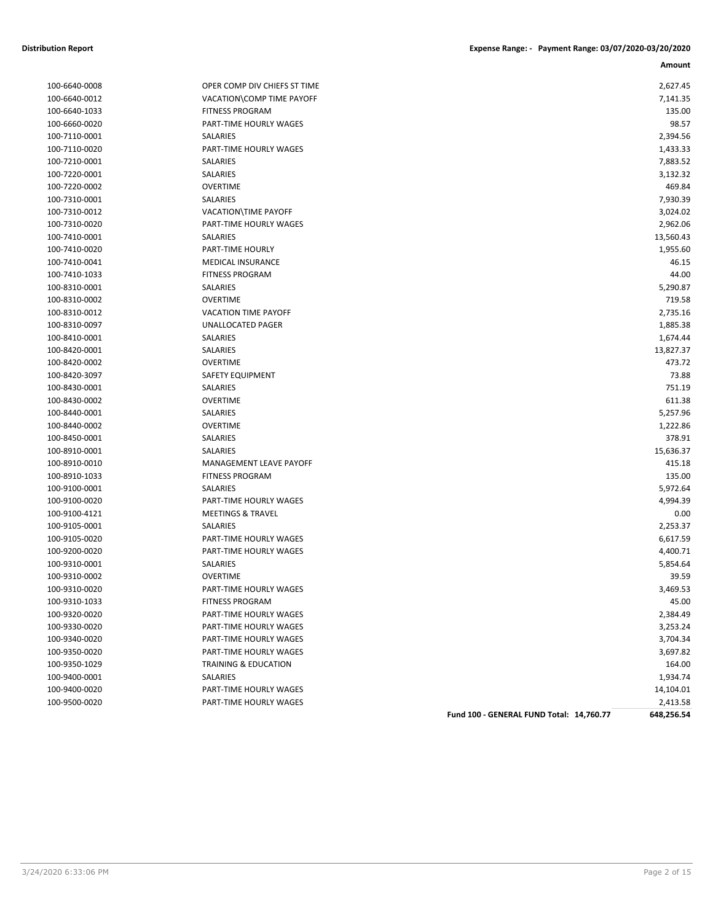| 100-6640-0008 |
|---------------|
| 100-6640-0012 |
| 100-6640-1033 |
| 100-6660-0020 |
| 100-7110-0001 |
| 100-7110-0020 |
| 100-7210-0001 |
| 100-7220-0001 |
| 100-7220-0002 |
| 100-7310-0001 |
| 100-7310-0012 |
| 100-7310-0020 |
| 100-7410-0001 |
| 100-7410-0020 |
| 100-7410-0041 |
| 100-7410-1033 |
| 100-8310-0001 |
| 100-8310-0002 |
| 100-8310-0012 |
| 100-8310-0097 |
| 100-8410-0001 |
| 100-8420-0001 |
| 100-8420-0002 |
| 100-8420-3097 |
| 100-8430-0001 |
| 100-8430-0002 |
| 100-8440-0001 |
| 100-8440-0002 |
| 100-8450-0001 |
| 100-8910-0001 |
| 100-8910-0010 |
| 100-8910-1033 |
| 100-9100-0001 |
| 100-9100-0020 |
| 100-9100-4121 |
| 100-9105-0001 |
| 100-9105-0020 |
| 100-9200-0020 |
| 100-9310-0001 |
| 100-9310-0002 |
| 100-9310-0020 |
| 100-9310-1033 |
| 100-9320-0020 |
| 100-9330-0020 |
| 100-9340-0020 |
| 100-9350-0020 |
| 100-9350-1029 |
| 100-9400-0001 |
| 100-9400-0020 |
| 100-9500-0020 |
|               |

| 100-6640-0008 | OPER COMP DIV CHIEFS ST TIME | 2,627.45  |
|---------------|------------------------------|-----------|
| 100-6640-0012 | VACATION\COMP TIME PAYOFF    | 7,141.35  |
| 100-6640-1033 | <b>FITNESS PROGRAM</b>       | 135.00    |
| 100-6660-0020 | PART-TIME HOURLY WAGES       | 98.57     |
| 100-7110-0001 | SALARIES                     | 2,394.56  |
| 100-7110-0020 | PART-TIME HOURLY WAGES       | 1,433.33  |
| 100-7210-0001 | SALARIES                     | 7,883.52  |
| 100-7220-0001 | SALARIES                     | 3,132.32  |
| 100-7220-0002 | <b>OVERTIME</b>              | 469.84    |
| 100-7310-0001 | <b>SALARIES</b>              | 7,930.39  |
| 100-7310-0012 | VACATION\TIME PAYOFF         | 3,024.02  |
| 100-7310-0020 | PART-TIME HOURLY WAGES       | 2,962.06  |
| 100-7410-0001 | SALARIES                     | 13,560.43 |
| 100-7410-0020 | PART-TIME HOURLY             | 1,955.60  |
| 100-7410-0041 | <b>MEDICAL INSURANCE</b>     | 46.15     |
| 100-7410-1033 | <b>FITNESS PROGRAM</b>       | 44.00     |
| 100-8310-0001 | SALARIES                     | 5,290.87  |
| 100-8310-0002 | <b>OVERTIME</b>              | 719.58    |
| 100-8310-0012 | <b>VACATION TIME PAYOFF</b>  | 2,735.16  |
| 100-8310-0097 | <b>UNALLOCATED PAGER</b>     | 1,885.38  |
| 100-8410-0001 | SALARIES                     | 1,674.44  |
| 100-8420-0001 | SALARIES                     | 13,827.37 |
| 100-8420-0002 | <b>OVERTIME</b>              | 473.72    |
| 100-8420-3097 | SAFETY EQUIPMENT             | 73.88     |
| 100-8430-0001 | <b>SALARIES</b>              | 751.19    |
| 100-8430-0002 | <b>OVERTIME</b>              | 611.38    |
| 100-8440-0001 | SALARIES                     | 5,257.96  |
| 100-8440-0002 | <b>OVERTIME</b>              | 1,222.86  |
| 100-8450-0001 | SALARIES                     | 378.91    |
| 100-8910-0001 | SALARIES                     | 15,636.37 |
| 100-8910-0010 | MANAGEMENT LEAVE PAYOFF      | 415.18    |
| 100-8910-1033 | <b>FITNESS PROGRAM</b>       | 135.00    |
| 100-9100-0001 | SALARIES                     | 5,972.64  |
| 100-9100-0020 | PART-TIME HOURLY WAGES       | 4,994.39  |
| 100-9100-4121 | <b>MEETINGS &amp; TRAVEL</b> | 0.00      |
| 100-9105-0001 | <b>SALARIES</b>              | 2,253.37  |
| 100-9105-0020 | PART-TIME HOURLY WAGES       | 6,617.59  |
| 100-9200-0020 | PART-TIME HOURLY WAGES       | 4,400.71  |
| 100-9310-0001 | SALARIES                     | 5,854.64  |
| 100-9310-0002 | <b>OVERTIME</b>              | 39.59     |
| 100-9310-0020 | PART-TIME HOURLY WAGES       | 3,469.53  |
| 100-9310-1033 | <b>FITNESS PROGRAM</b>       | 45.00     |
| 100-9320-0020 | PART-TIME HOURLY WAGES       | 2,384.49  |
| 100-9330-0020 | PART-TIME HOURLY WAGES       | 3,253.24  |
| 100-9340-0020 | PART-TIME HOURLY WAGES       | 3,704.34  |
| 100-9350-0020 | PART-TIME HOURLY WAGES       | 3,697.82  |
| 100-9350-1029 | TRAINING & EDUCATION         | 164.00    |
| 100-9400-0001 | SALARIES                     | 1,934.74  |
| 100-9400-0020 | PART-TIME HOURLY WAGES       | 14,104.01 |
| 100-9500-0020 | PART-TIME HOURLY WAGES       | 2,413.58  |
|               |                              |           |

**Fund 100 - GENERAL FUND Total: 14,760.77 648,256.54**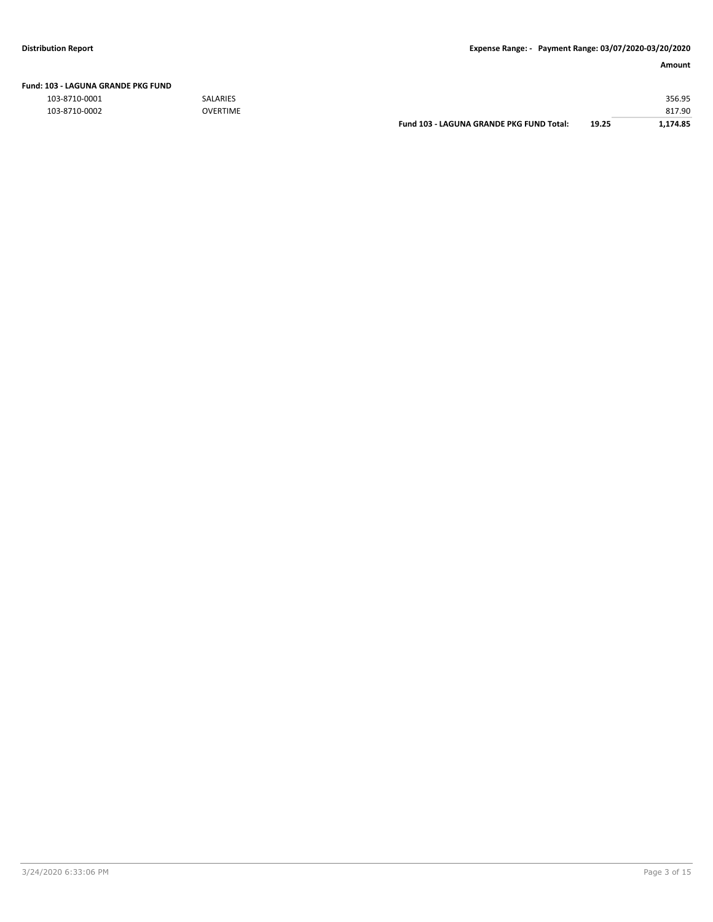| Fund: 103 - LAGUNA GRANDE PKG FUND |  |
|------------------------------------|--|
|                                    |  |

103-8710-0001 SALARIES 356.95

| 103-8710-0002 | <b>OVERTIME</b> |                                          |       | 817.90  |
|---------------|-----------------|------------------------------------------|-------|---------|
|               |                 | Fund 103 - LAGUNA GRANDE PKG FUND Total: | 19.25 | ,174.85 |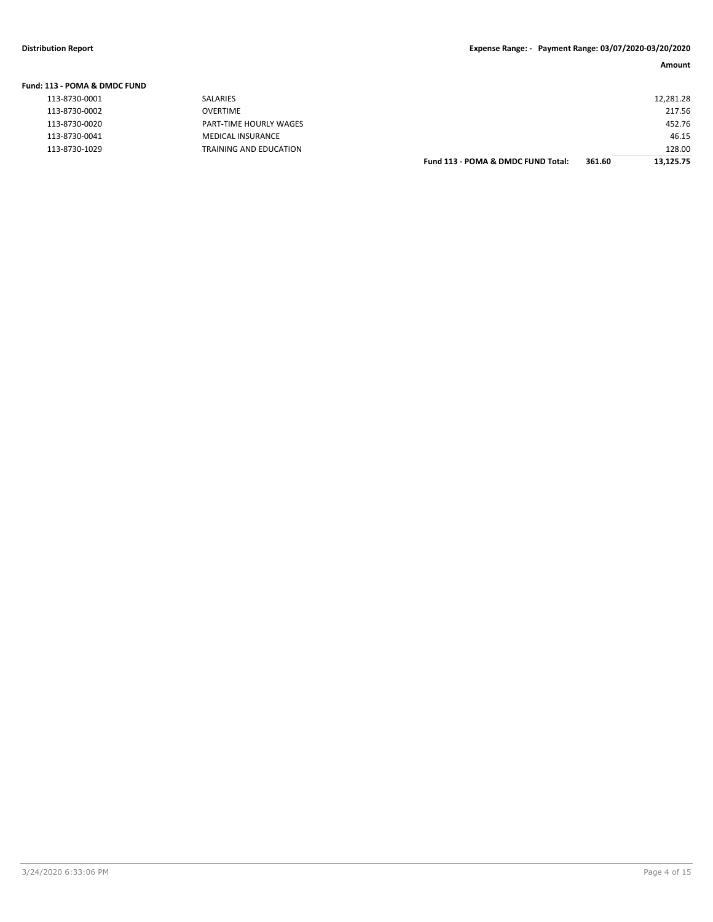| Fund: 113 - POMA & DMDC FUND |                        |                                    |        |           |
|------------------------------|------------------------|------------------------------------|--------|-----------|
| 113-8730-0001                | <b>SALARIES</b>        |                                    |        | 12,281.28 |
| 113-8730-0002                | OVERTIME               |                                    |        | 217.56    |
| 113-8730-0020                | PART-TIME HOURLY WAGES |                                    |        | 452.76    |
| 113-8730-0041                | MEDICAL INSURANCE      |                                    |        | 46.15     |
| 113-8730-1029                | TRAINING AND EDUCATION |                                    |        | 128.00    |
|                              |                        | Fund 113 - POMA & DMDC FUND Total: | 361.60 | 13.125.75 |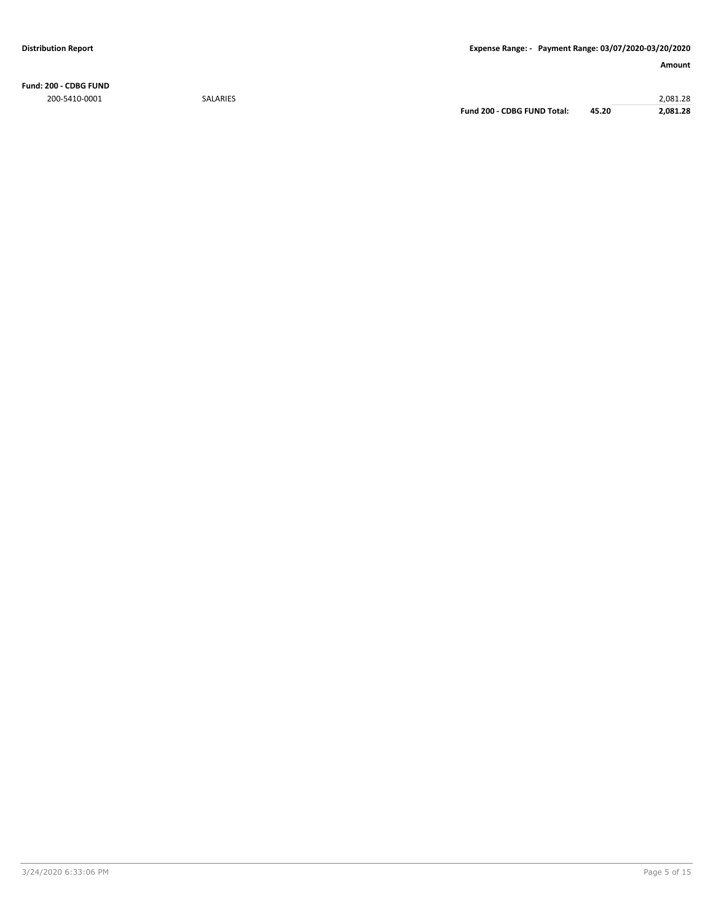**Fund: 200 - CDBG FUND** 200-5410-0001 SALARIES 2,081.28

**Fund 200 - CDBG FUND Total: 45.20 2,081.28**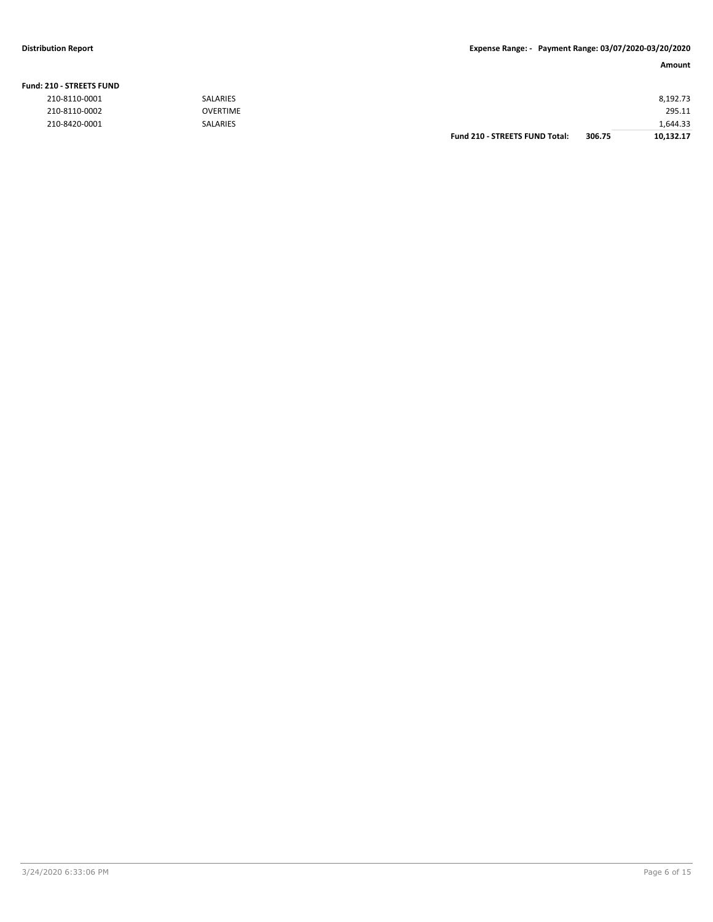### **Fund: 210 - STREETS FUND**

| 210-8110-0001 | <b>SALARIES</b> |                                       |        | 8,192.73  |
|---------------|-----------------|---------------------------------------|--------|-----------|
| 210-8110-0002 | <b>OVERTIME</b> |                                       |        | 295.11    |
| 210-8420-0001 | <b>SALARIES</b> |                                       |        | 1,644.33  |
|               |                 | <b>Fund 210 - STREETS FUND Total:</b> | 306.75 | 10,132.17 |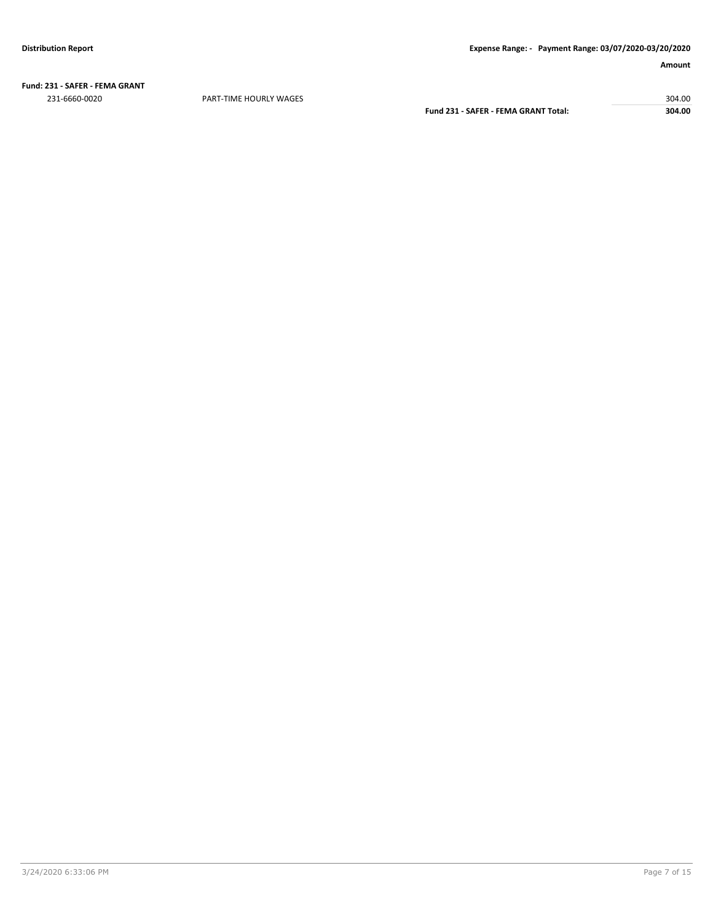**Fund: 231 - SAFER - FEMA GRANT** 231-6660-0020 PART-TIME HOURLY WAGES 304.00

**Fund 231 - SAFER - FEMA GRANT Total: 304.00**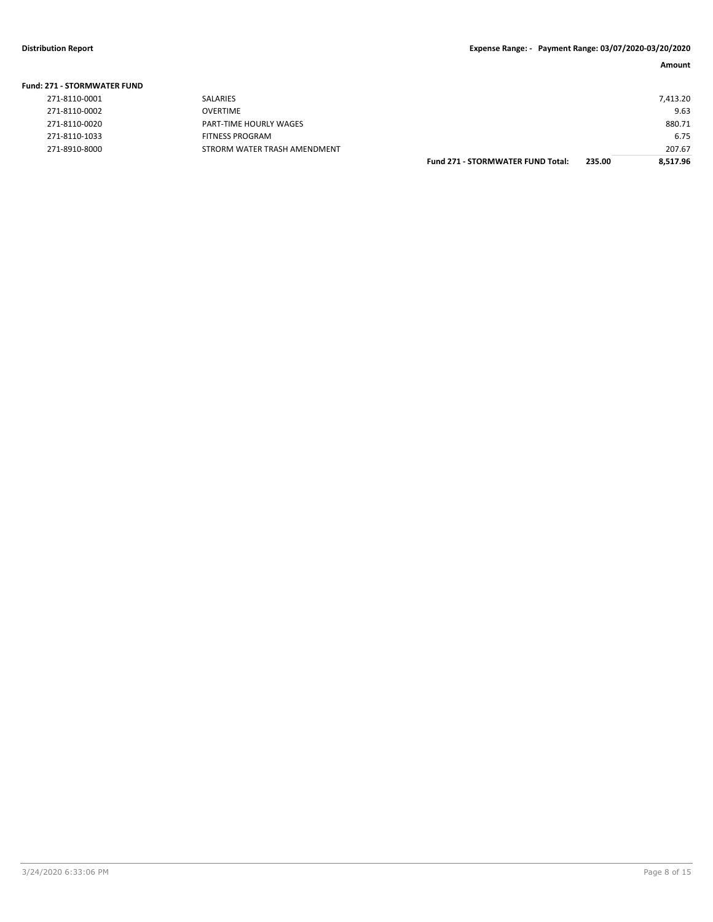| Fund: 271 - STORMWATER FUND |                              |                                          |        |          |
|-----------------------------|------------------------------|------------------------------------------|--------|----------|
| 271-8110-0001               | <b>SALARIES</b>              |                                          |        | 7,413.20 |
| 271-8110-0002               | <b>OVERTIME</b>              |                                          |        | 9.63     |
| 271-8110-0020               | PART-TIME HOURLY WAGES       |                                          |        | 880.71   |
| 271-8110-1033               | <b>FITNESS PROGRAM</b>       |                                          |        | 6.75     |
| 271-8910-8000               | STRORM WATER TRASH AMENDMENT |                                          |        | 207.67   |
|                             |                              | <b>Fund 271 - STORMWATER FUND Total:</b> | 235.00 | 8.517.96 |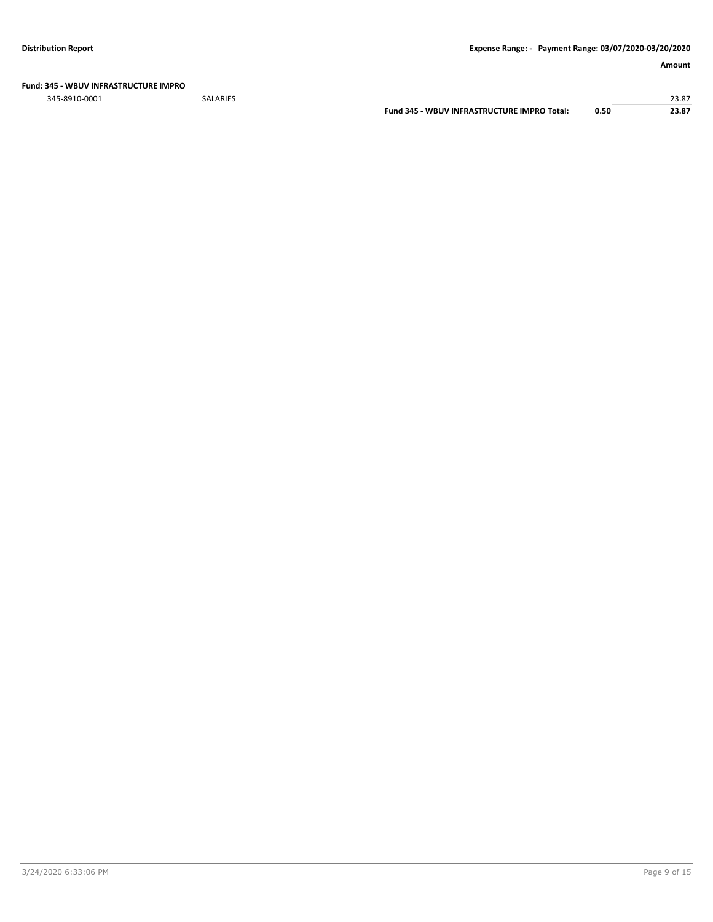### **Fund: 345 - WBUV INFRASTRUCTURE IMPRO**

345-8910-0001 SALARIES 23.87

**Fund 345 - WBUV INFRASTRUCTURE IMPRO Total: 0.50 23.87**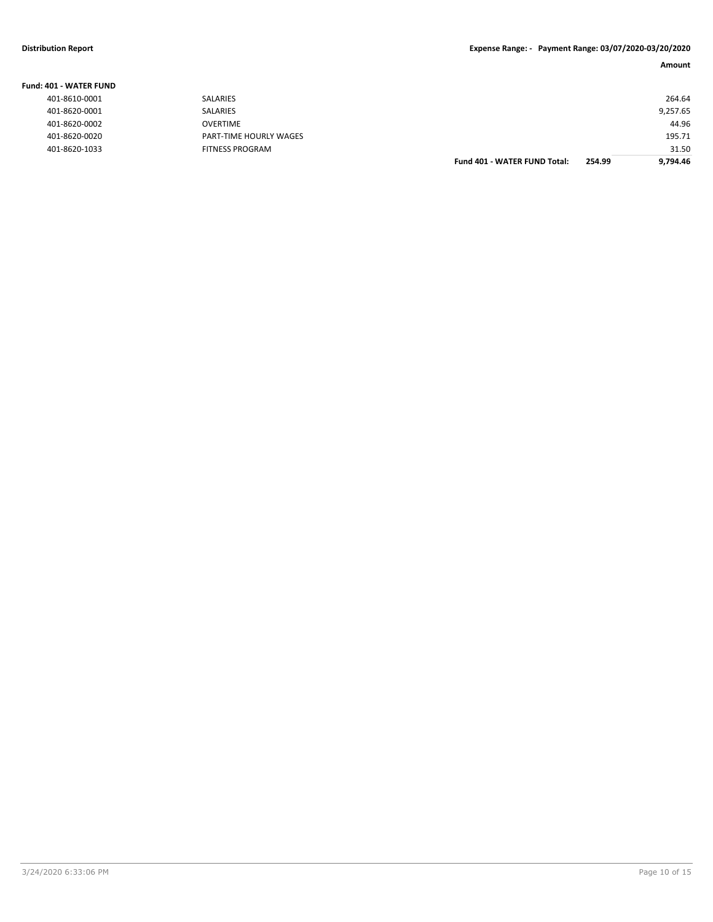| Fund: 401 - WATER FUND |                        |                                     |        |          |
|------------------------|------------------------|-------------------------------------|--------|----------|
| 401-8610-0001          | SALARIES               |                                     |        | 264.64   |
| 401-8620-0001          | <b>SALARIES</b>        |                                     |        | 9,257.65 |
| 401-8620-0002          | OVERTIME               |                                     |        | 44.96    |
| 401-8620-0020          | PART-TIME HOURLY WAGES |                                     |        | 195.71   |
| 401-8620-1033          | <b>FITNESS PROGRAM</b> |                                     |        | 31.50    |
|                        |                        | <b>Fund 401 - WATER FUND Total:</b> | 254.99 | 9.794.46 |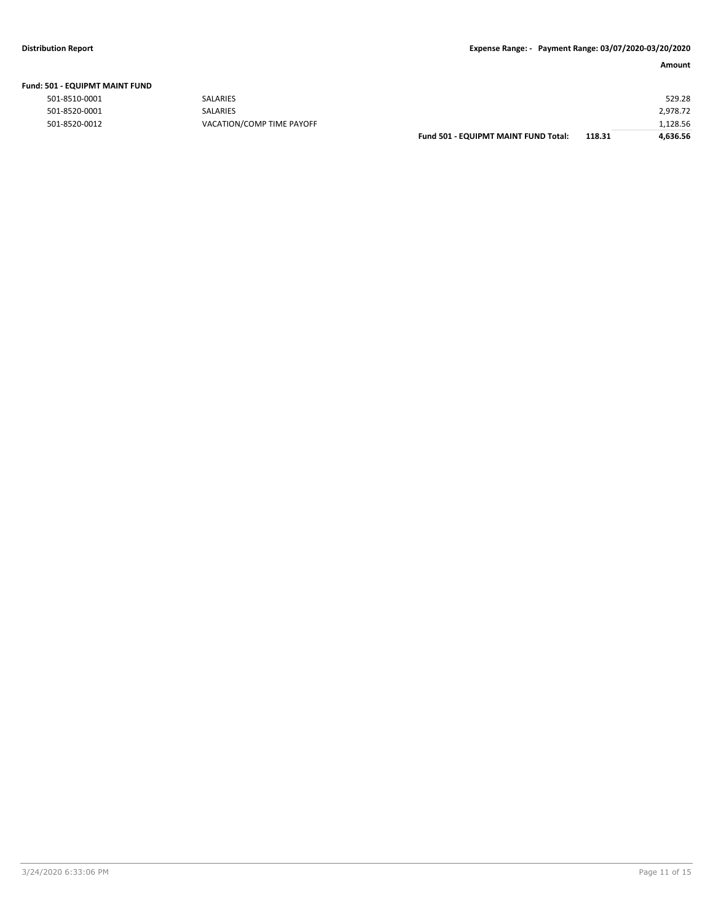|  | Fund: 501 - EQUIPMT MAINT FUND |
|--|--------------------------------|
|--|--------------------------------|

| <b>SALARIES</b>           |                                      |        | 529.28   |
|---------------------------|--------------------------------------|--------|----------|
| SALARIES                  |                                      |        | 2,978.72 |
| VACATION/COMP TIME PAYOFF |                                      |        | 1,128.56 |
|                           | Fund 501 - EQUIPMT MAINT FUND Total: | 118.31 | 4,636.56 |
|                           |                                      |        |          |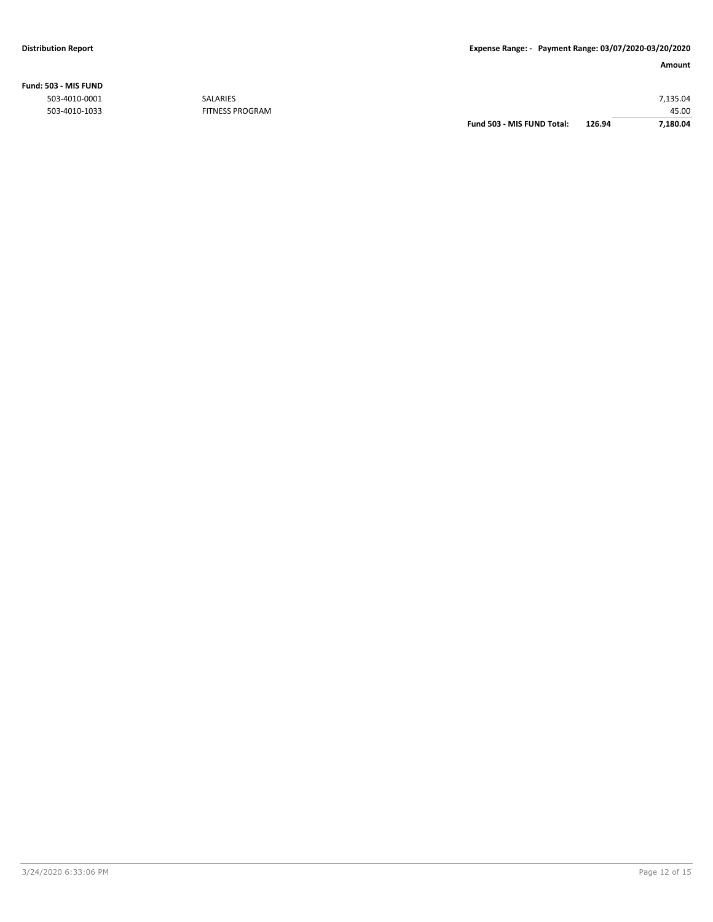# **Fund: 503 - MIS FUND**

|               |                        | Fund 503 - MIS FUND Total: | 126.94 | 7,180.04 |
|---------------|------------------------|----------------------------|--------|----------|
| 503-4010-1033 | <b>FITNESS PROGRAM</b> |                            |        | 45.00    |
| 503-4010-0001 | SALARIES               |                            |        | 7.135.04 |
|               |                        |                            |        |          |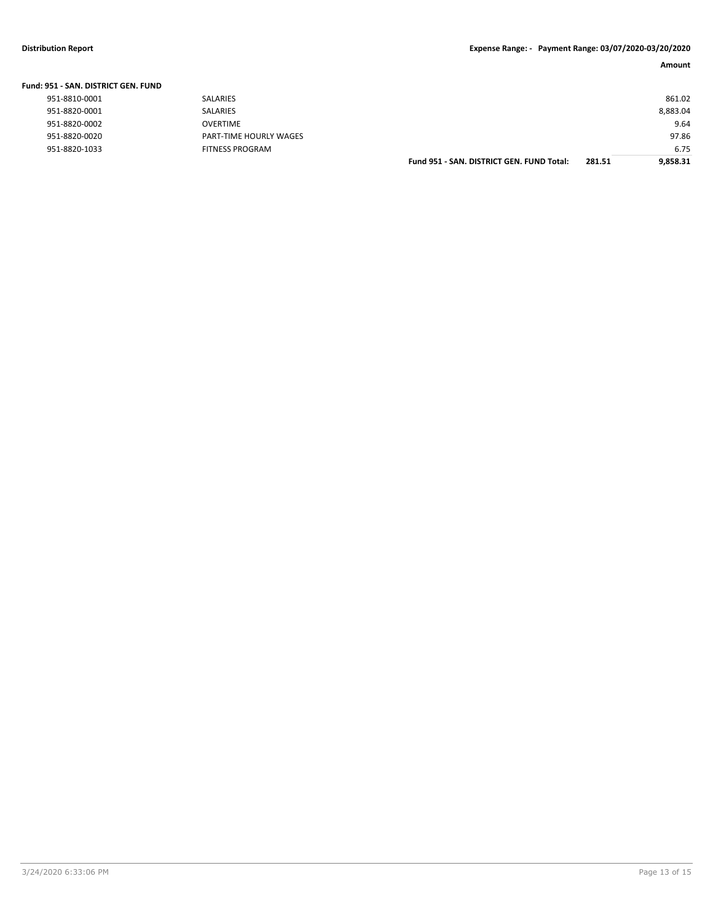| Fund: 951 - SAN. DISTRICT GEN. FUND |                               |                                           |        |          |
|-------------------------------------|-------------------------------|-------------------------------------------|--------|----------|
| 951-8810-0001                       | <b>SALARIES</b>               |                                           |        | 861.02   |
| 951-8820-0001                       | SALARIES                      |                                           |        | 8,883.04 |
| 951-8820-0002                       | OVERTIME                      |                                           |        | 9.64     |
| 951-8820-0020                       | <b>PART-TIME HOURLY WAGES</b> |                                           |        | 97.86    |
| 951-8820-1033                       | FITNESS PROGRAM               |                                           |        | 6.75     |
|                                     |                               | Fund 951 - SAN, DISTRICT GEN, FUND Total: | 281.51 | 9.858.31 |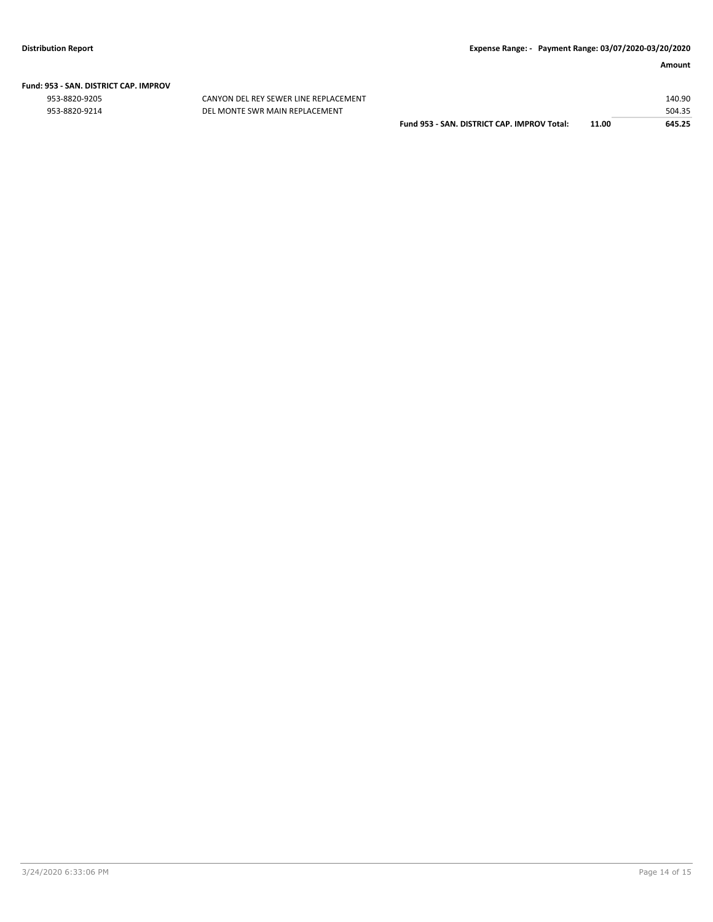# **Fund: 953 - SAN. DISTRICT CAP. IMPROV**

CANYON DEL REY SEWER LINE REPLACEMENT 953-8820-9214 DEL MONTE SWR MAIN REPLACEMENT

|                                             |       | 140.90 |
|---------------------------------------------|-------|--------|
|                                             |       | 504.35 |
| Fund 953 - SAN, DISTRICT CAP, IMPROV Total: | 11.00 | 645.25 |